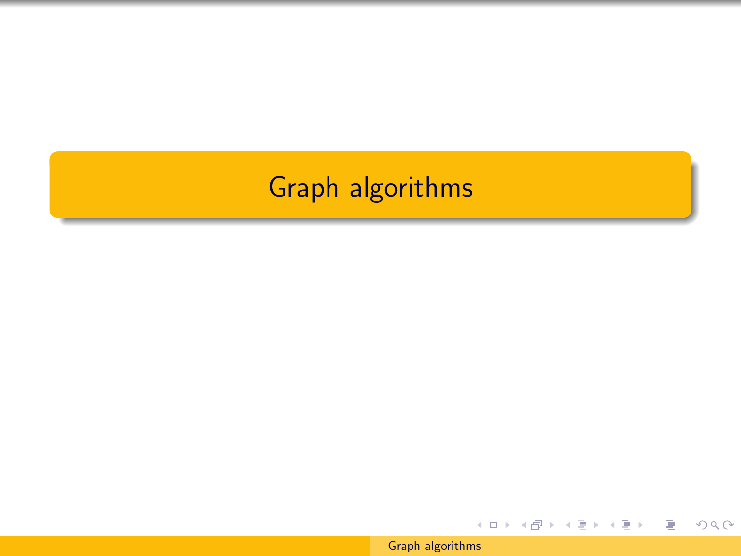## <span id="page-0-0"></span>Graph algorithms

[Graph algorithms](#page-90-0)

イロト イ部 トイをトイをトー

目

 $2Q$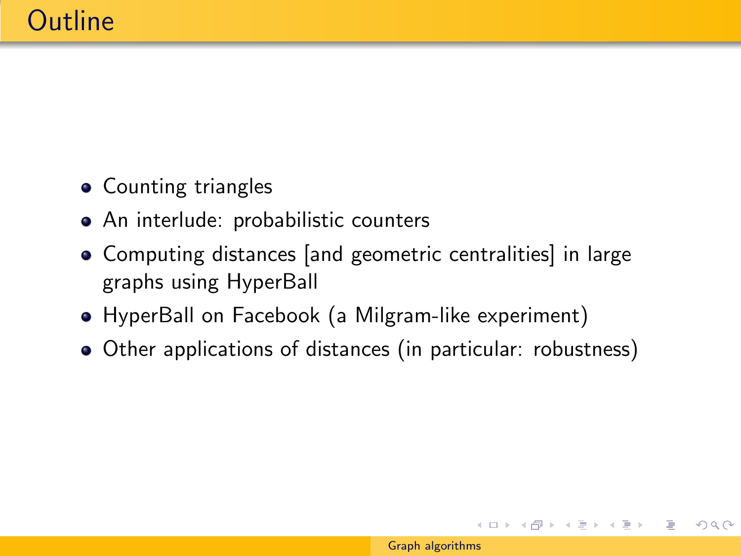- Counting triangles
- An interlude: probabilistic counters
- Computing distances [and geometric centralities] in large graphs using HyperBall
- HyperBall on Facebook (a Milgram-like experiment)
- Other applications of distances (in particular: robustness)

イロト イ部 トイ君 トイ君 トー

 $OQ$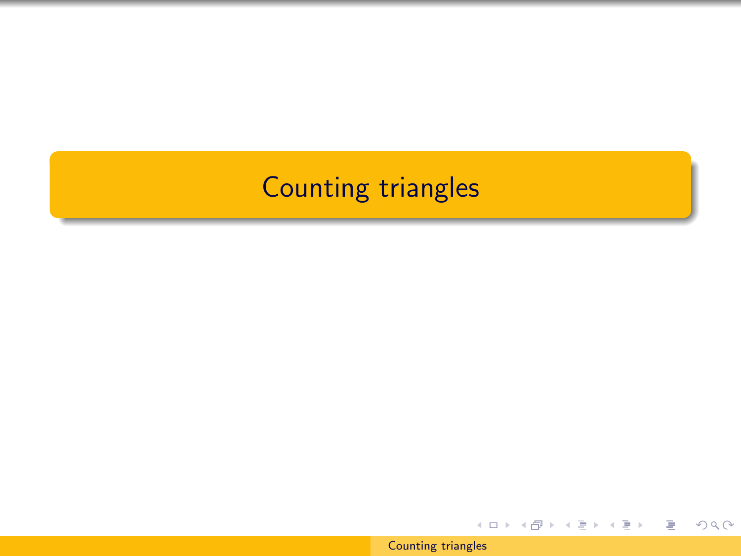## Counting triangles

[Counting triangles](#page-0-0)

イロト イ部 トイ君 トイ君 トー

目

 $2Q$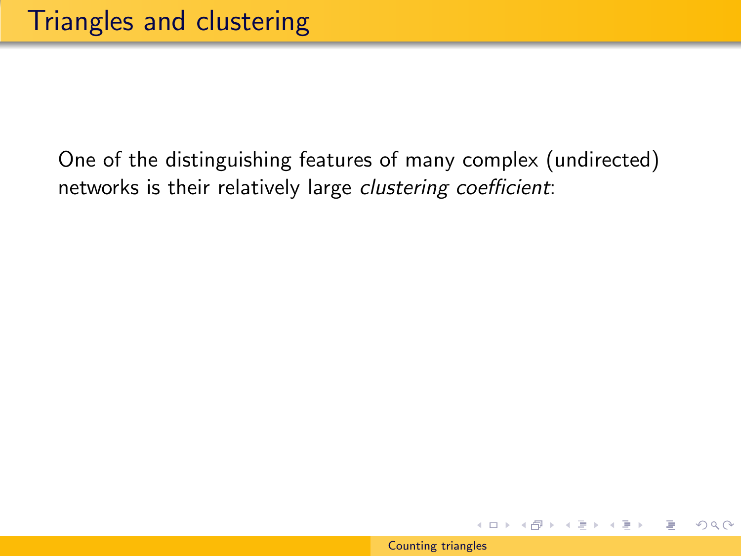$\leftarrow$   $\Box$   $\rightarrow$ 

メタトメ ミトメ ミト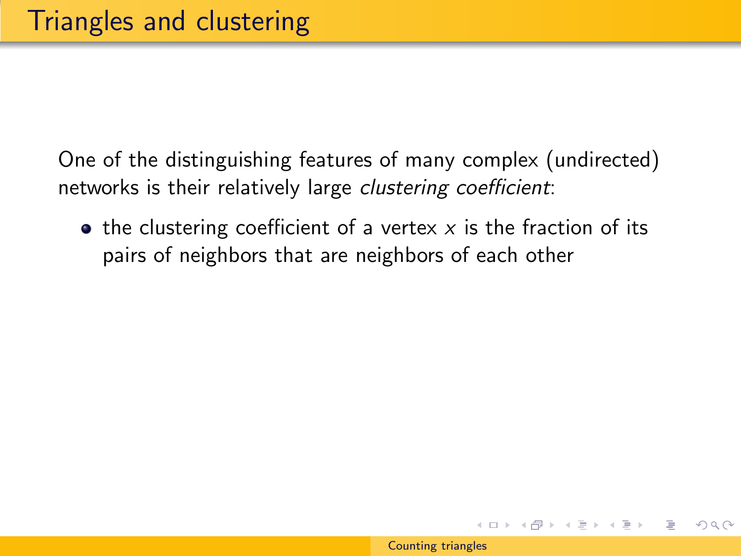$\bullet$  the clustering coefficient of a vertex x is the fraction of its pairs of neighbors that are neighbors of each other

メ 何 メ メ ヨ メ ス ヨ メー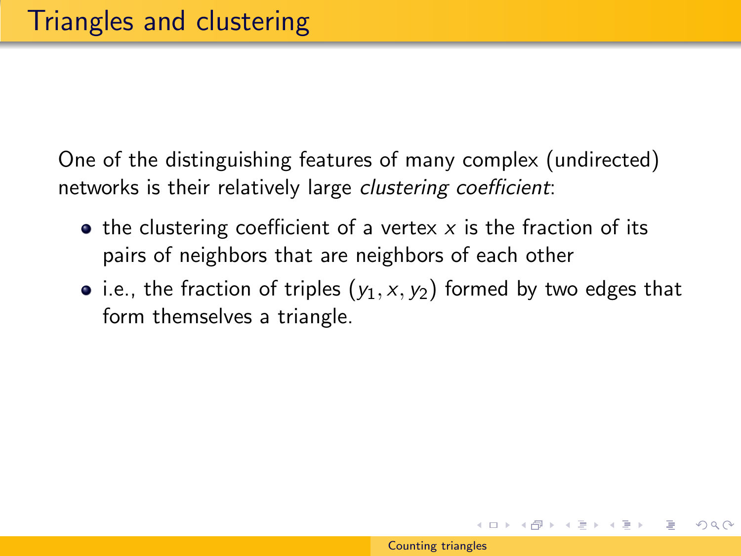- $\bullet$  the clustering coefficient of a vertex x is the fraction of its pairs of neighbors that are neighbors of each other
- i.e., the fraction of triples  $(y_1, x, y_2)$  formed by two edges that form themselves a triangle.

イロト イ部 トイ君 トイ君 トー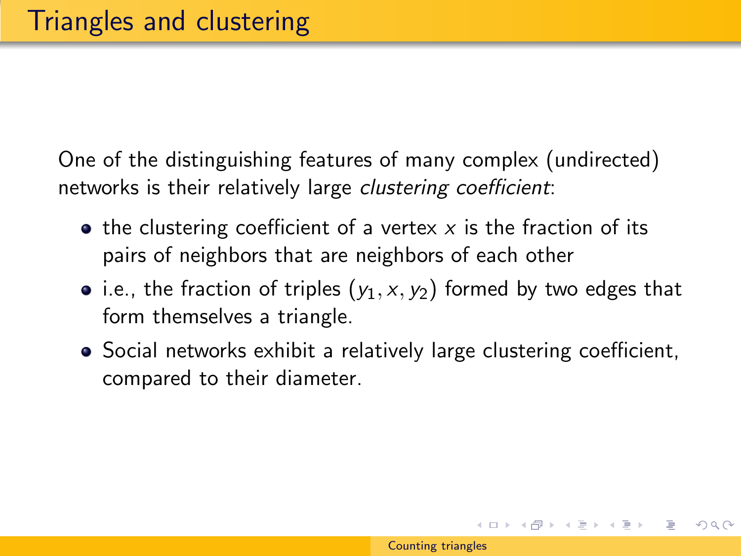- $\bullet$  the clustering coefficient of a vertex x is the fraction of its pairs of neighbors that are neighbors of each other
- i.e., the fraction of triples  $(y_1, x, y_2)$  formed by two edges that form themselves a triangle.
- Social networks exhibit a relatively large clustering coefficient, compared to their diameter.

イロン イ母ン イヨン イヨン 一手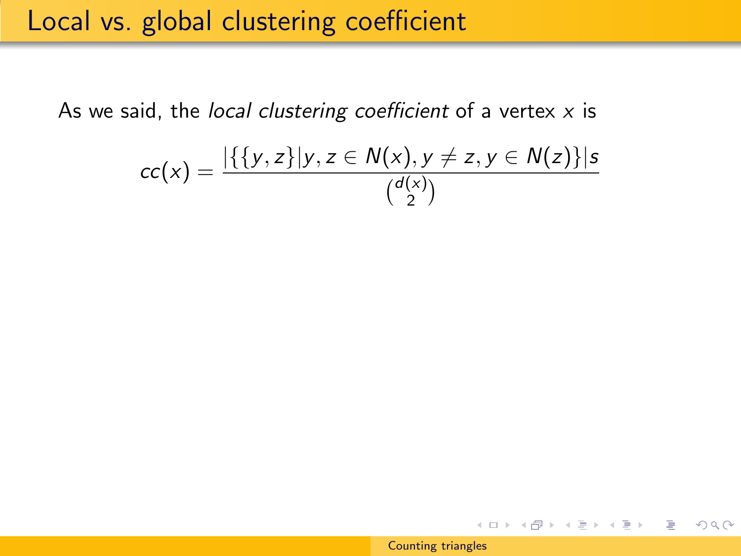### Local vs. global clustering coefficient

As we said, the local clustering coefficient of a vertex  $x$  is

$$
cc(x) = \frac{|\{\{y,z\}|y,z \in N(x), y \neq z, y \in N(z)\}|s}{\binom{d(x)}{2}}
$$

イロメ イ部メ イモメ イモメー

 $OQ$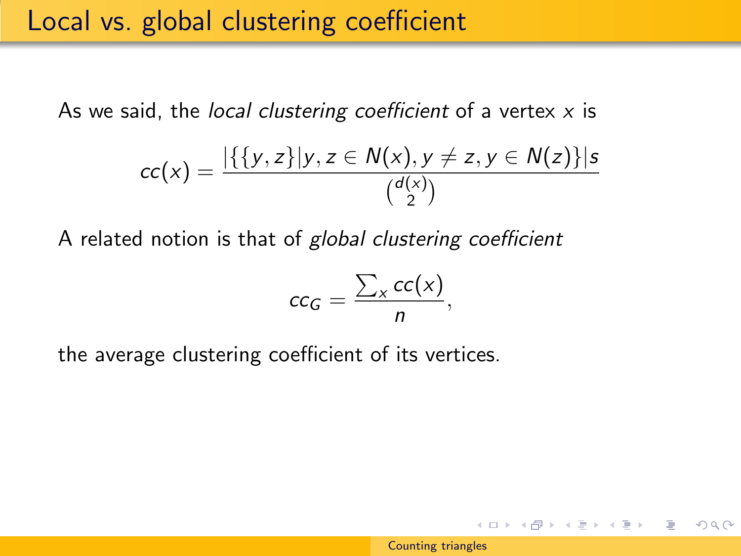As we said, the local clustering coefficient of a vertex  $x$  is

$$
cc(x) = \frac{|\{\{y,z\}|y,z \in N(x), y \neq z, y \in N(z)\}|s}{\binom{d(x)}{2}}
$$

A related notion is that of global clustering coefficient

$$
cc_G = \frac{\sum_x cc(x)}{n},
$$

the average clustering coefficient of its vertices.

イロメ イ押メ イヨメ イヨメー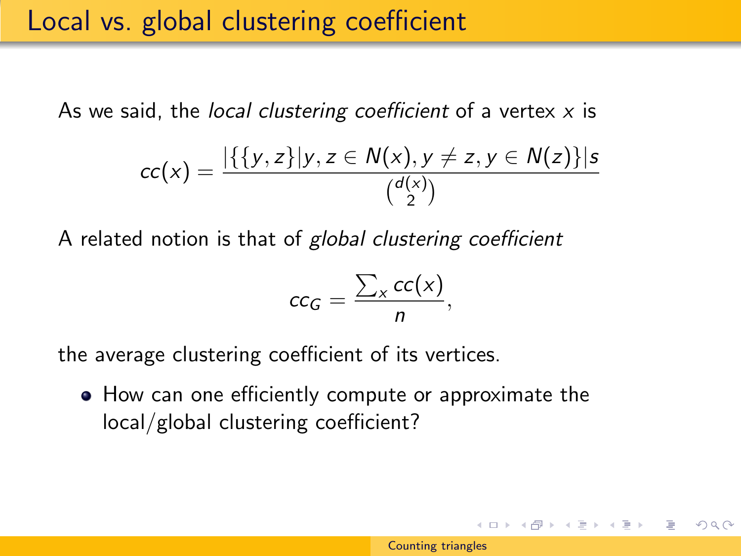As we said, the local clustering coefficient of a vertex  $x$  is

$$
cc(x) = \frac{|\{\{y,z\}|y,z \in N(x), y \neq z, y \in N(z)\}|s}{\binom{d(x)}{2}}
$$

A related notion is that of global clustering coefficient

$$
cc_G = \frac{\sum_x cc(x)}{n},
$$

the average clustering coefficient of its vertices.

• How can one efficiently compute or approximate the local/global clustering coefficient?

イロメ イ押メ イヨメ イヨメー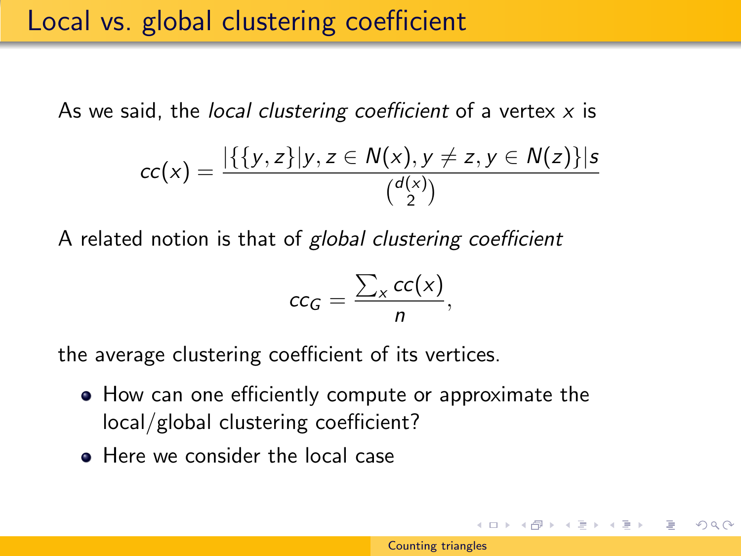As we said, the *local clustering coefficient* of a vertex  $x$  is

$$
cc(x) = \frac{|\{\{y,z\}|y,z \in N(x), y \neq z, y \in N(z)\}|s}{\binom{d(x)}{2}}
$$

A related notion is that of global clustering coefficient

$$
cc_G = \frac{\sum_x cc(x)}{n},
$$

the average clustering coefficient of its vertices.

- How can one efficiently compute or approximate the local/global clustering coefficient?
- **Here we consider the local case**

イロト イ部 トイ君 トイ君 トー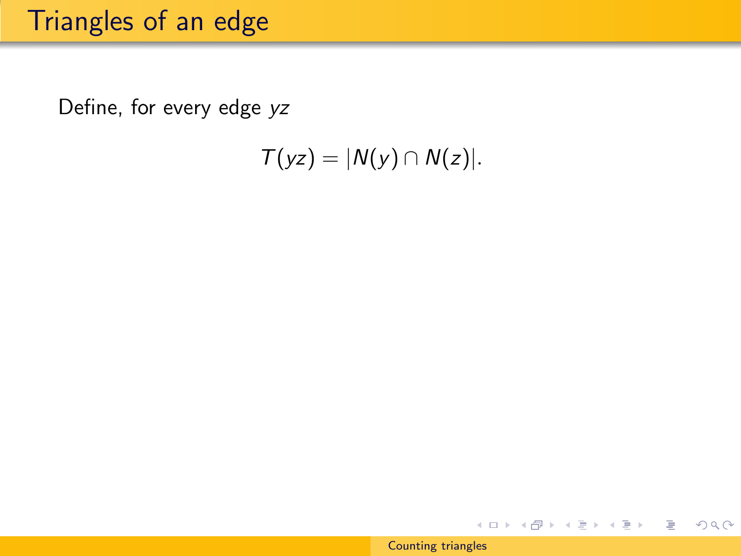## Triangles of an edge

Define, for every edge yz

 $T(yz) = |N(y) \cap N(z)|$ .

イロト イ部 トイモト イモトー

 $\equiv$ 

 $2Q$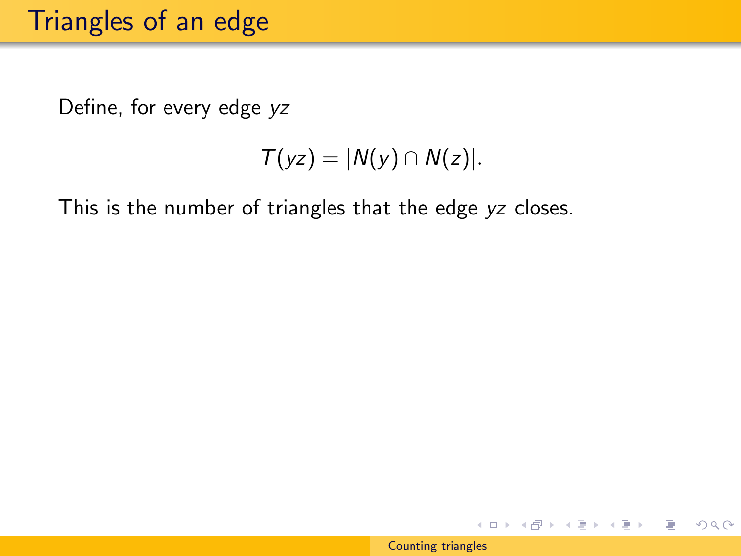## Triangles of an edge

Define, for every edge yz

$$
T(yz)=|N(y)\cap N(z)|.
$$

This is the number of triangles that the edge yz closes.

イロン イ部ン イミン イミン

 $PQQ$ 

∍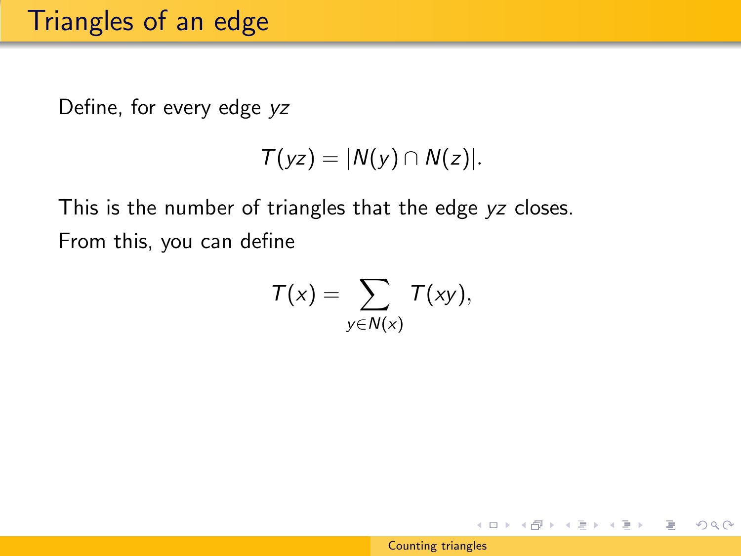Define, for every edge yz

$$
T(yz)=|N(y)\cap N(z)|.
$$

This is the number of triangles that the edge yz closes. From this, you can define

$$
T(x) = \sum_{y \in N(x)} T(xy),
$$

イロン イ部ン イミン イミン

 $OQ$ 

∍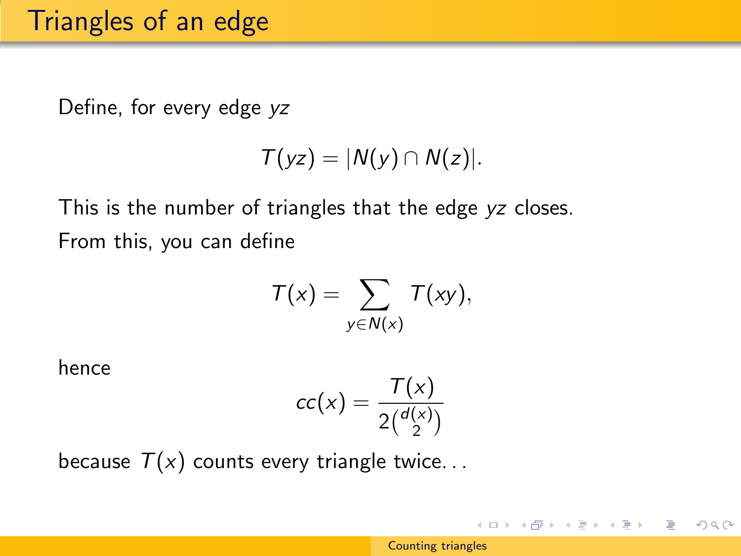Define, for every edge yz

$$
T(yz)=|N(y)\cap N(z)|.
$$

This is the number of triangles that the edge yz closes. From this, you can define

$$
T(x) = \sum_{y \in N(x)} T(xy),
$$

hence

$$
cc(x) = \frac{T(x)}{2\binom{d(x)}{2}}
$$

because  $T(x)$  counts every triangle twice...

イロン イ部ン イミン イミン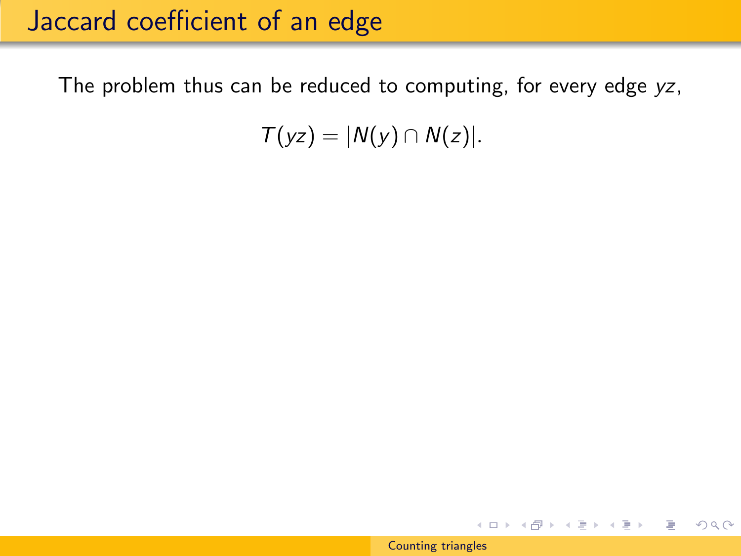The problem thus can be reduced to computing, for every edge yz,

 $T(yz) = |N(y) \cap N(z)|$ .

K ロ ▶ K @ ▶ K ミ ▶ K ミ ▶ │ 글 │ K 9 Q @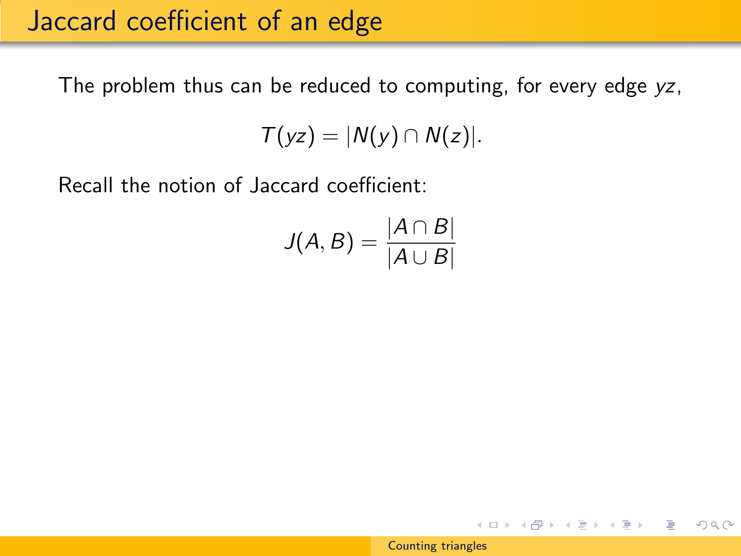The problem thus can be reduced to computing, for every edge yz,

 $T(yz) = |N(y) \cap N(z)|$ .

Recall the notion of Jaccard coefficient:

$$
J(A, B) = \frac{|A \cap B|}{|A \cup B|}
$$

K ロ > K 何 > K ミ > K ミ > → ミ → の Q Q →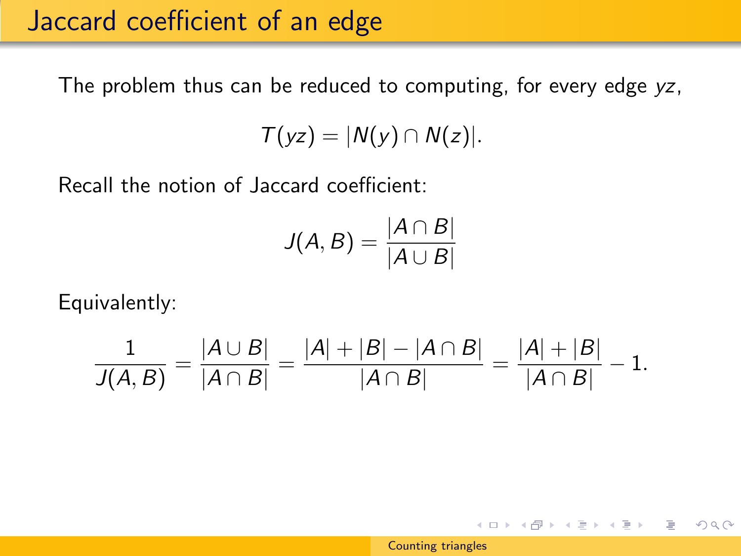The problem thus can be reduced to computing, for every edge yz,

 $T(yz) = |N(y) \cap N(z)|$ .

Recall the notion of Jaccard coefficient:

$$
J(A, B) = \frac{|A \cap B|}{|A \cup B|}
$$

Equivalently:

$$
\frac{1}{J(A,B)} = \frac{|A \cup B|}{|A \cap B|} = \frac{|A| + |B| - |A \cap B|}{|A \cap B|} = \frac{|A| + |B|}{|A \cap B|} - 1.
$$

K ロ ▶ K @ ▶ K ミ ▶ K ミ ▶ │ 글 │ K 9 Q @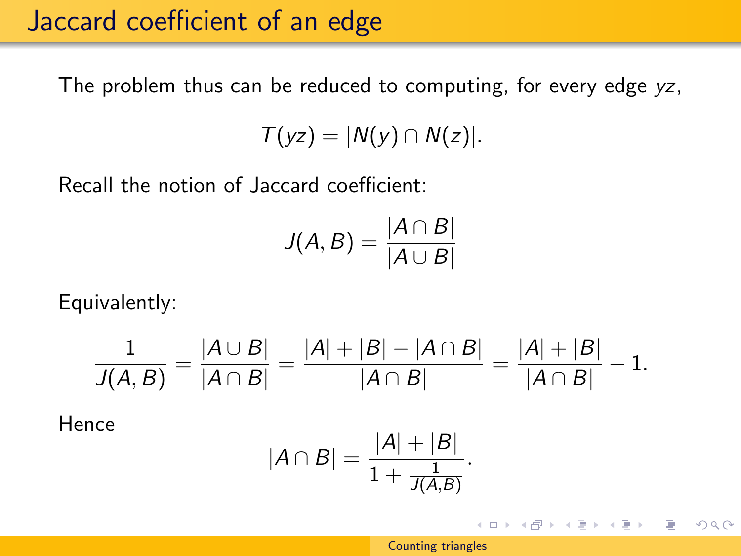The problem thus can be reduced to computing, for every edge yz,

 $T(yz) = |N(y) \cap N(z)|$ .

Recall the notion of Jaccard coefficient:

$$
J(A, B) = \frac{|A \cap B|}{|A \cup B|}
$$

Equivalently:

$$
\frac{1}{J(A,B)} = \frac{|A \cup B|}{|A \cap B|} = \frac{|A| + |B| - |A \cap B|}{|A \cap B|} = \frac{|A| + |B|}{|A \cap B|} - 1.
$$

Hence

$$
|A \cap B| = \frac{|A| + |B|}{1 + \frac{1}{J(A,B)}}.
$$

K ロ > K @ > K ミ > K ミ > → ミ → の Q Q <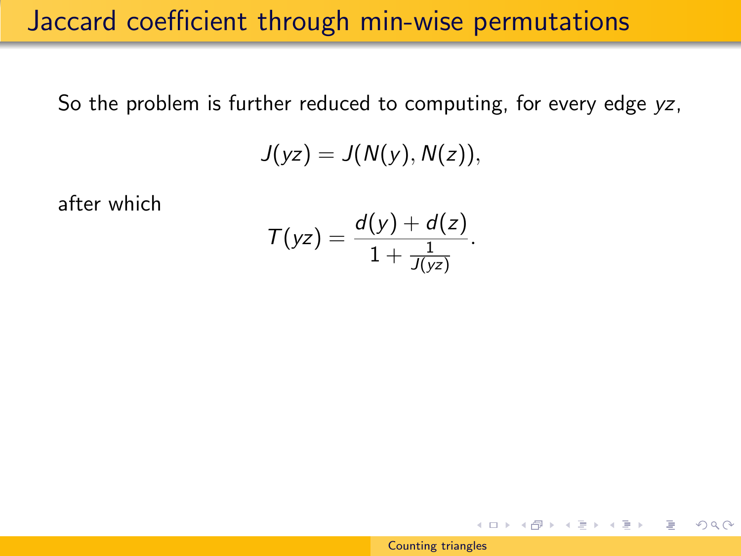#### Jaccard coefficient through min-wise permutations

So the problem is further reduced to computing, for every edge yz,

$$
J(yz)=J(N(y),N(z)),
$$

after which

$$
\mathcal{T}(yz)=\frac{d(y)+d(z)}{1+\frac{1}{J(yz)}}.
$$

イロメ イ団メ イモメ イモメー

 $OQ$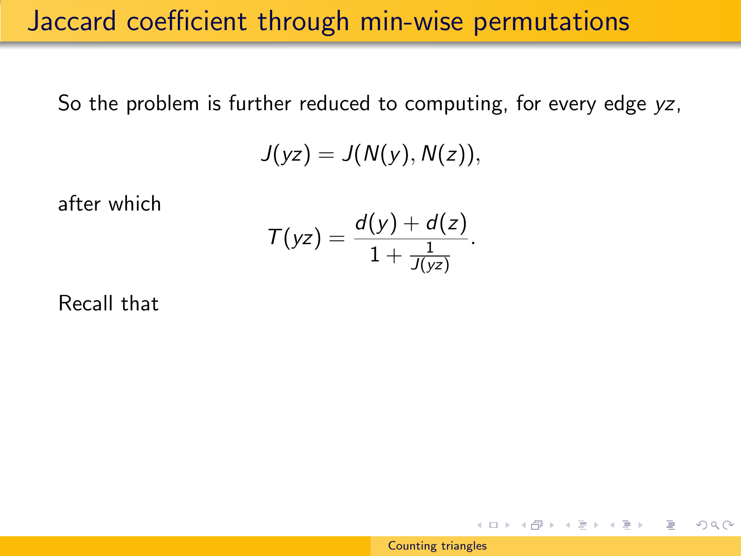#### Jaccard coefficient through min-wise permutations

So the problem is further reduced to computing, for every edge yz,

$$
J(yz)=J(N(y),N(z)),
$$

after which

$$
T(yz) = \frac{d(y) + d(z)}{1 + \frac{1}{J(yz)}}.
$$

Recall that

[Counting triangles](#page-0-0)

イロト イ部 トイ君 トイ君 トー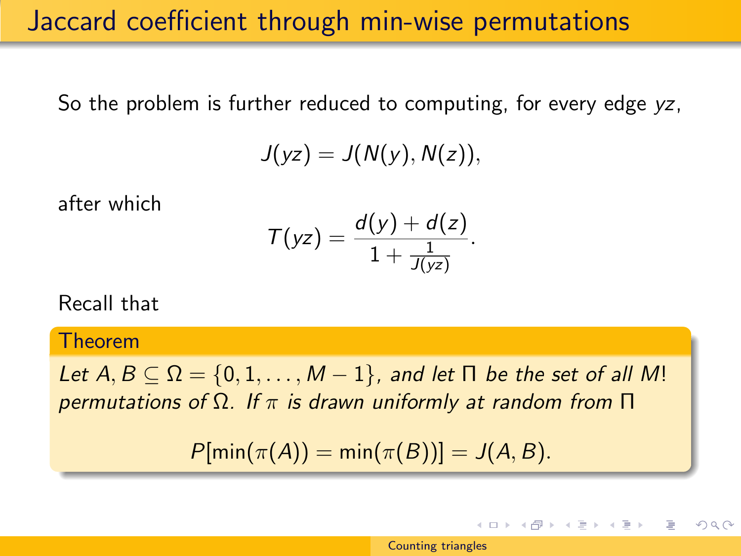### Jaccard coefficient through min-wise permutations

So the problem is further reduced to computing, for every edge yz,

$$
J(yz)=J(N(y),N(z)),
$$

after which

$$
\mathcal{T}(yz)=\frac{d(y)+d(z)}{1+\frac{1}{J(yz)}}.
$$

Recall that

Theorem

Let  $A, B \subseteq \Omega = \{0, 1, \ldots, M - 1\}$ , and let  $\Pi$  be the set of all M! permutations of  $\Omega$ . If  $\pi$  is drawn uniformly at random from  $\Pi$ 

 $P[\min(\pi(A)) = \min(\pi(B))] = J(A, B).$ 

→ イ母 ト イヨ ト イヨ ト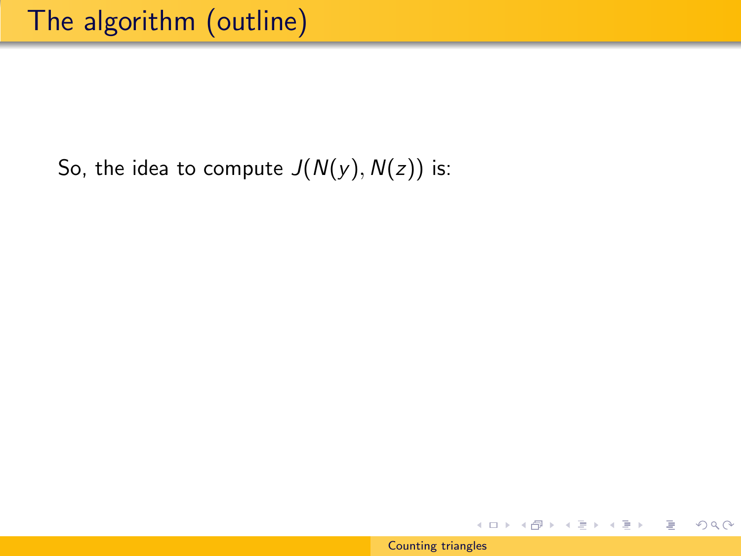イロト イ部 トイモト イモトー

 $2Q$ 

∍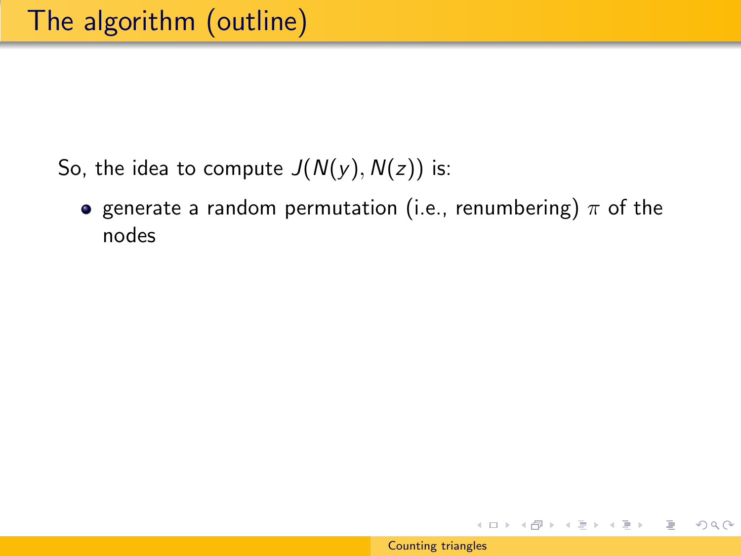- So, the idea to compute  $J(N(y), N(z))$  is:
	- **•** generate a random permutation (i.e., renumbering)  $\pi$  of the nodes

イロト イ部 トイモト イモトー

 $OQ$ 

∍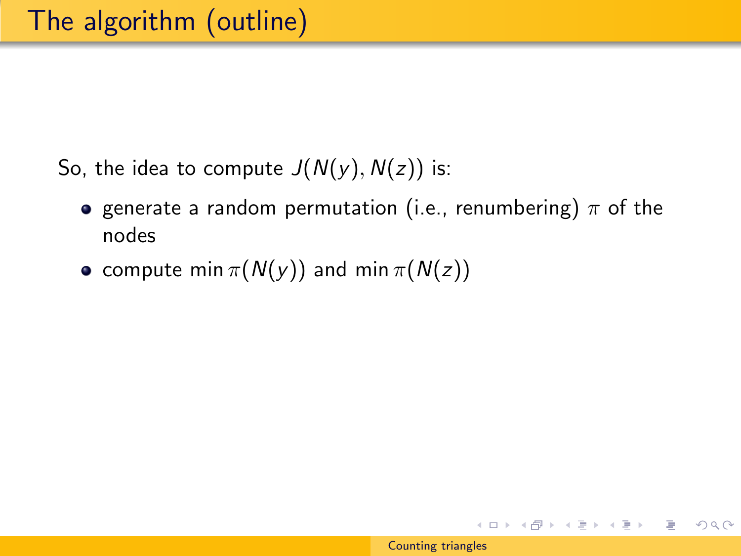- **•** generate a random permutation (i.e., renumbering)  $\pi$  of the nodes
- compute min  $\pi(N(y))$  and min  $\pi(N(z))$

K ロ ▶ K @ ▶ K 경 ▶ K 경 ▶ │ 경

 $\eta$ a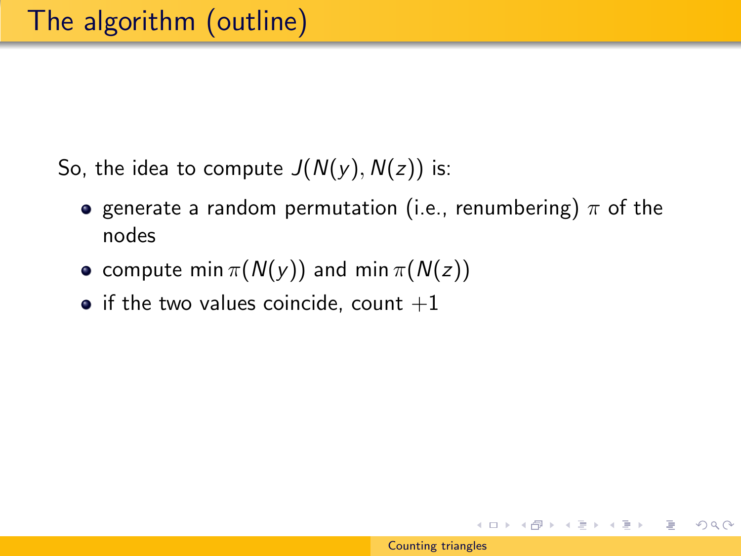- **•** generate a random permutation (i.e., renumbering)  $\pi$  of the nodes
- compute min  $\pi(N(y))$  and min  $\pi(N(z))$
- $\bullet$  if the two values coincide, count  $+1$

イロメ イ部メ イ君メ イ君メー

 $OQ$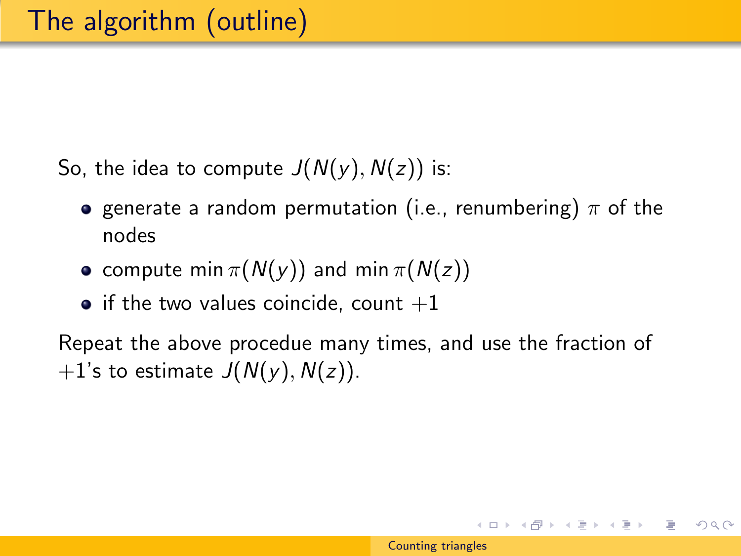- **•** generate a random permutation (i.e., renumbering)  $\pi$  of the nodes
- compute min  $\pi(N(y))$  and min  $\pi(N(z))$
- $\bullet$  if the two values coincide, count  $+1$

Repeat the above procedue many times, and use the fraction of  $+1$ 's to estimate  $J(N(y), N(z))$ .

イロト イ部 トイモト イモト 一番

 $OQ$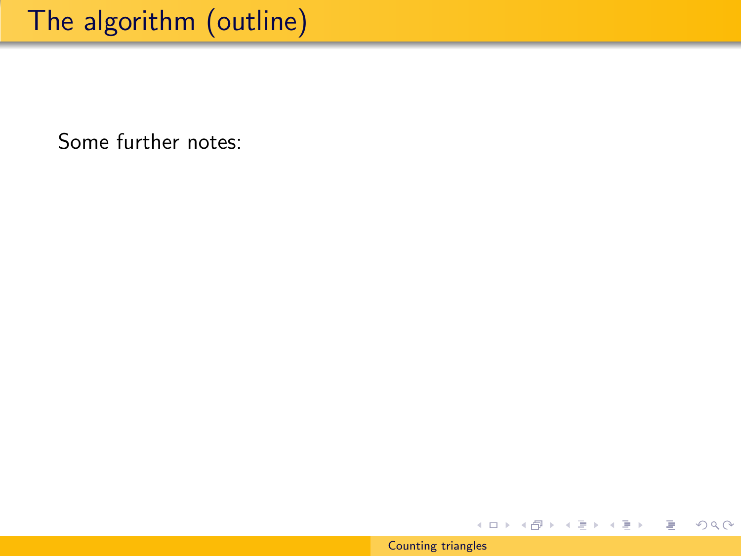## The algorithm (outline)

Some further notes:



イロメ イ部メ イモメ イモメー

目

 $2Q$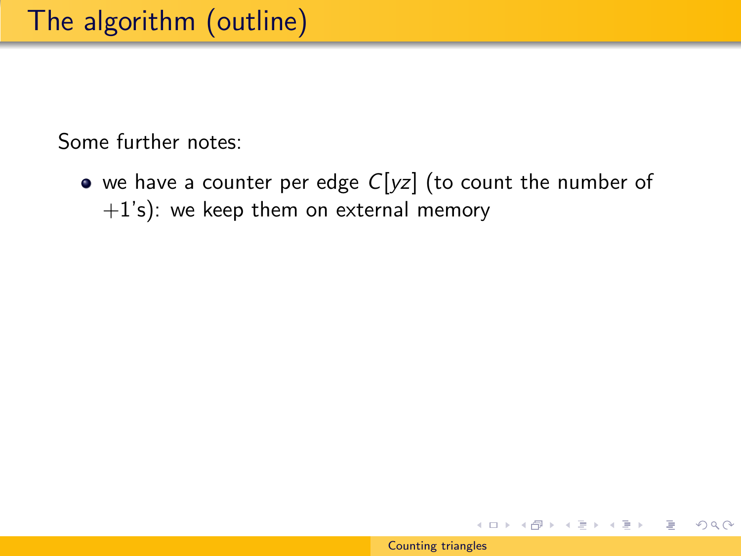• we have a counter per edge  $C[yz]$  (to count the number of  $+1$ 's): we keep them on external memory

イロン イ部ン イミン イミン

 $OQ$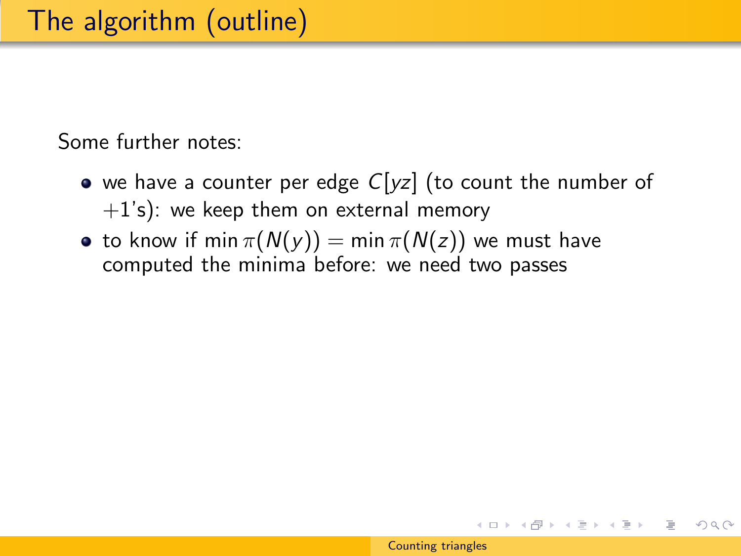- we have a counter per edge  $C[yz]$  (to count the number of  $+1$ 's): we keep them on external memory
- to know if min  $\pi(N(y)) = \min \pi(N(z))$  we must have computed the minima before: we need two passes

イロメ イ押メ イヨメ イヨメー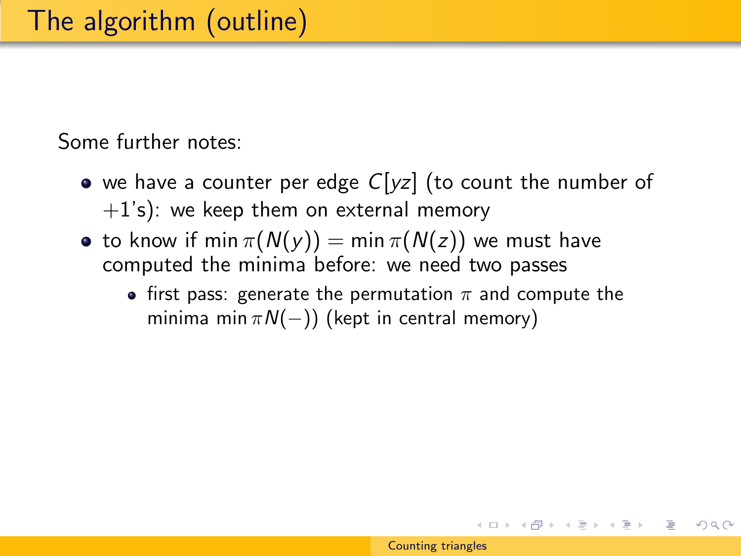- we have a counter per edge  $C[yz]$  (to count the number of  $+1$ 's): we keep them on external memory
- to know if min  $\pi(N(y)) = \min \pi(N(z))$  we must have computed the minima before: we need two passes
	- first pass: generate the permutation  $\pi$  and compute the minima min  $\pi N(-)$ ) (kept in central memory)

イロト イ部 トイモト イモト 一番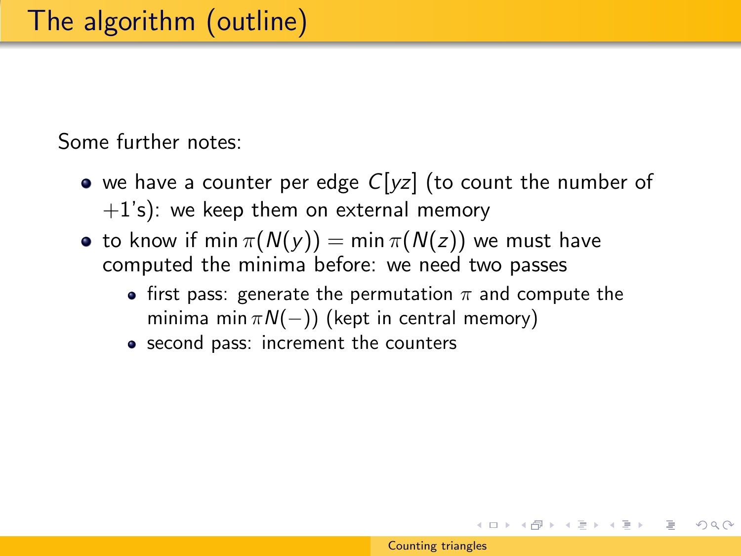- we have a counter per edge  $C[yz]$  (to count the number of  $+1$ 's): we keep them on external memory
- to know if min  $\pi(N(y)) = \min \pi(N(z))$  we must have computed the minima before: we need two passes
	- first pass: generate the permutation  $\pi$  and compute the minima min  $\pi N(-)$ ) (kept in central memory)
	- second pass: increment the counters

イロメ イ部メ イ君メ イ君メー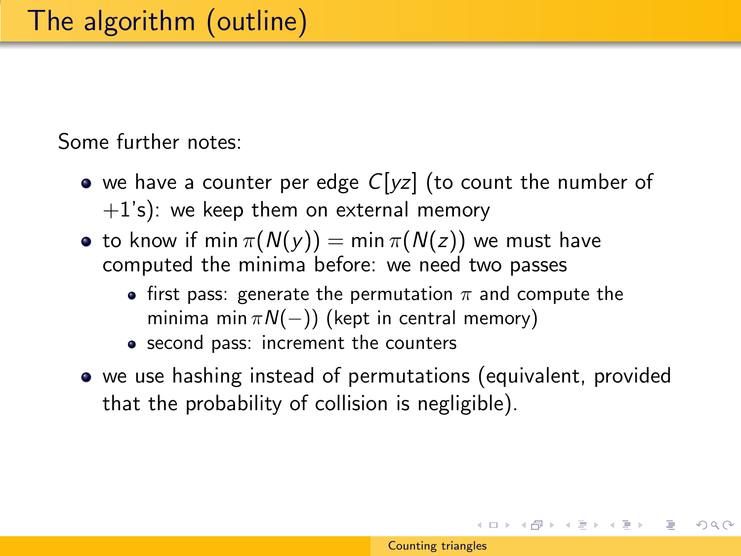- we have a counter per edge  $C[yz]$  (to count the number of  $+1$ 's): we keep them on external memory
- to know if min  $\pi(N(y)) = \min \pi(N(z))$  we must have computed the minima before: we need two passes
	- first pass: generate the permutation  $\pi$  and compute the minima min  $\pi N(-)$ ) (kept in central memory)
	- second pass: increment the counters
- we use hashing instead of permutations (equivalent, provided that the probability of collision is negligible).

イロメ イ部メ イ君メ イ君メー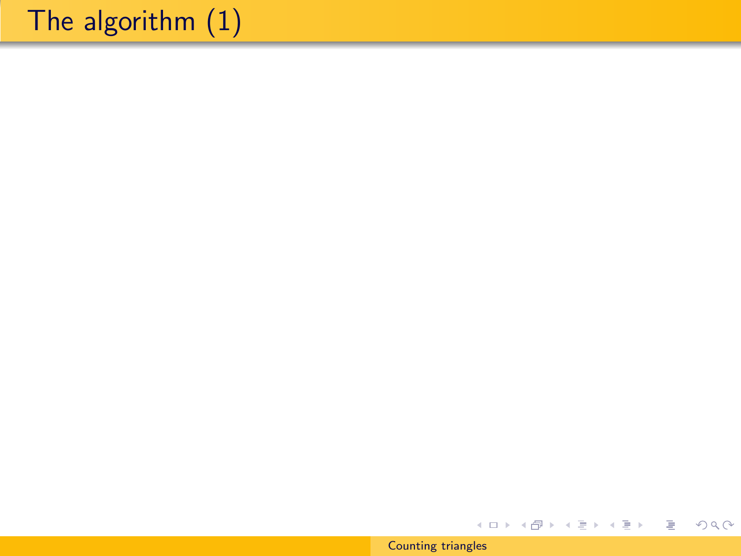# The algorithm (1)

[Counting triangles](#page-0-0)

メロメ メタメ メミメ メミメー

目

 $299$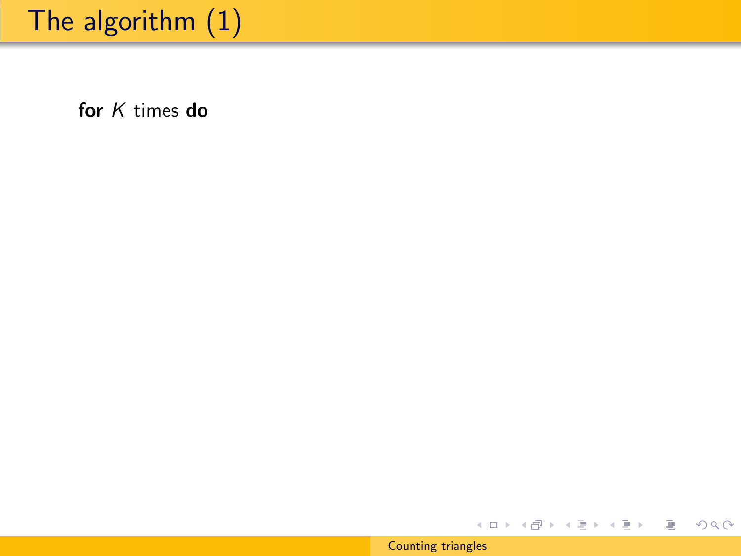# The algorithm (1)

for *K* times do

[Counting triangles](#page-0-0)

イロン イ団ン イミン イミン

€.

 $299$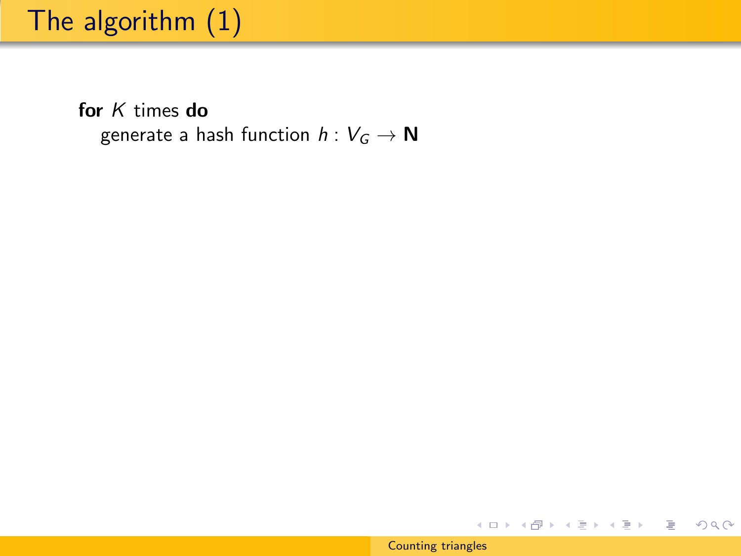# The algorithm (1)

for  $K$  times do generate a hash function  $h: V_G \to \mathbb{N}$ 

★ ロン ★ 御 > ★ 君 > → 君 > ○ 君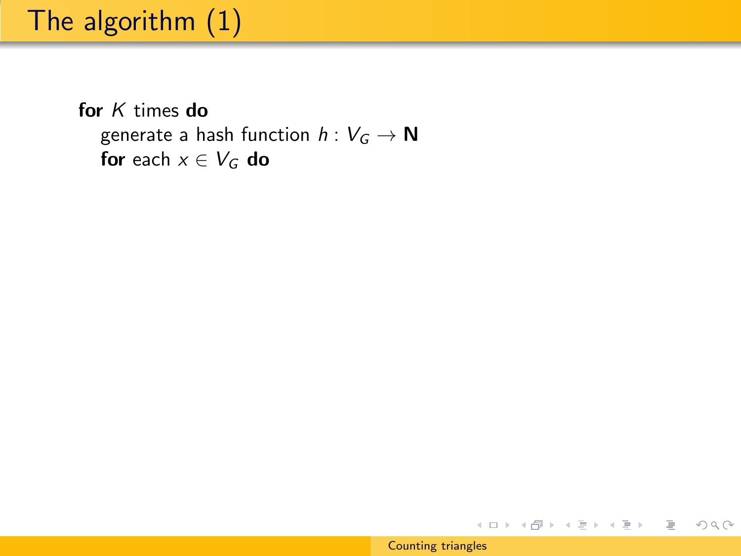for K times do generate a hash function  $h: V_G \to \mathbb{N}$ for each  $x \in V_G$  do

メロメ メタメ メミメ メミメー

 $\equiv$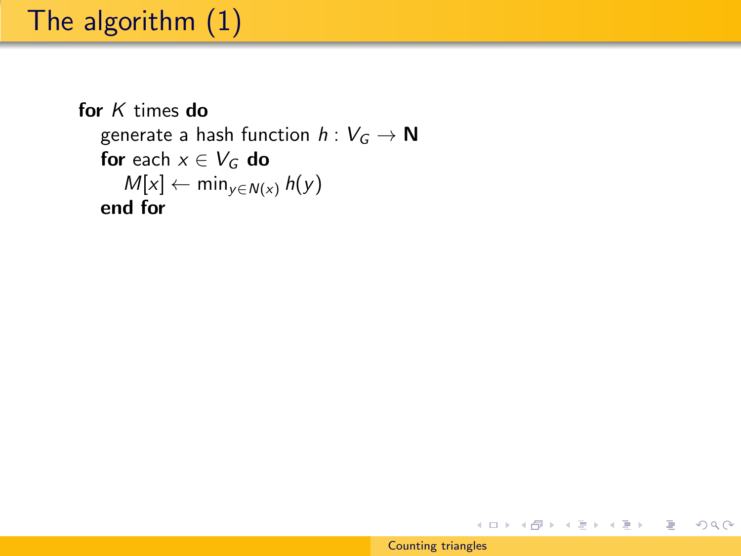```
for K times do
   generate a hash function h: V_G \to \mathbb{N}for each x \in V_G do
      M[x] \leftarrow min_{y \in N(x)} h(y)end for
```
K ロ ▶ K @ ▶ K 경 ▶ K 경 ▶ │ 경

 $OQ$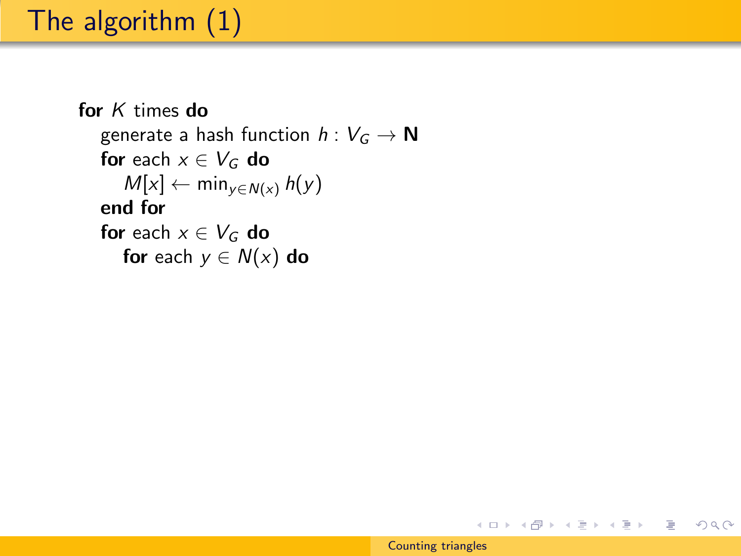```
for K times do
  generate a hash function h: V_G \to \mathbb{N}for each x \in V_G do
     M[x] \leftarrow min_{y \in N(x)} h(y)end for
  for each x \in V_G do
     for each y \in N(x) do
```
イロト イ部 トイモト イモトー

 $OQ$ 

目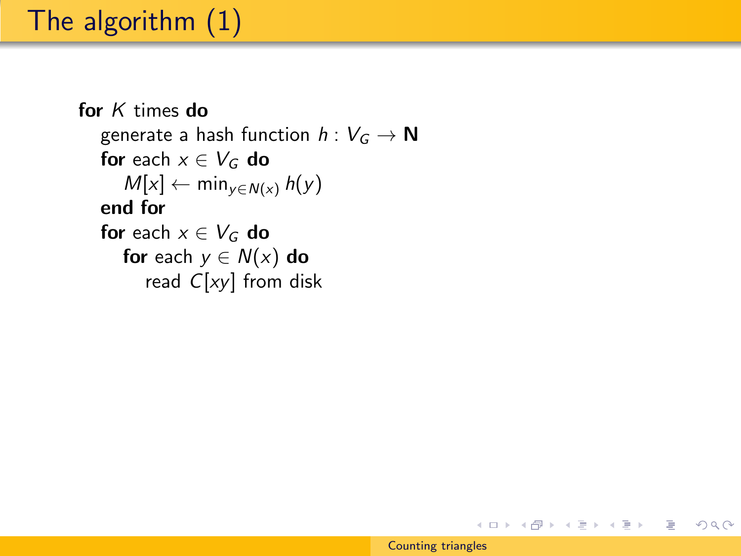```
for K times do
  generate a hash function h: V_G \to \mathbb{N}for each x \in V_G do
     M[x] \leftarrow min_{y \in N(x)} h(y)end for
  for each x \in V_G do
     for each y \in N(x) do
        read C[xy] from disk
```
イロト イ部 トイモト イモトー

 $OQ$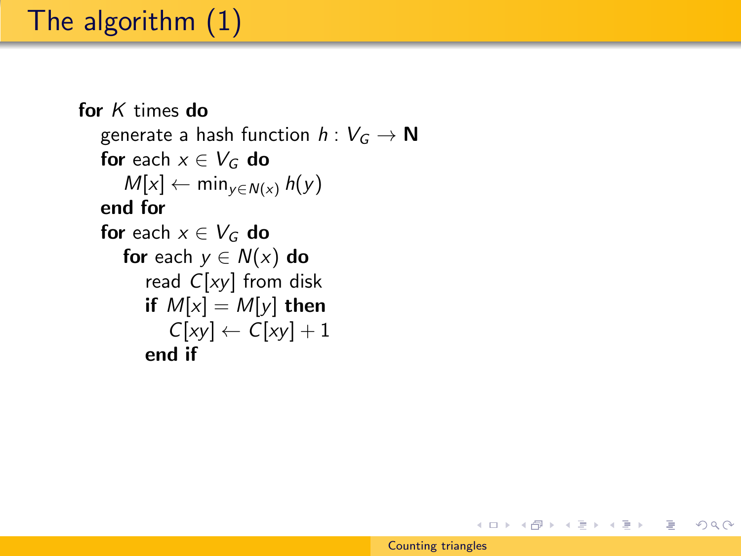```
for K times do
   generate a hash function h: V_G \to \mathbb{N}for each x \in V_G do
     M[x] \leftarrow min_{y \in N(x)} h(y)end for
  for each x \in V_G do
     for each y \in N(x) do
        read C[xy] from disk
        if M[x] = M[y] then
           C[xy] \leftarrow C[xy] + 1end if
```
イロト イ部 トイモト イモトー

∍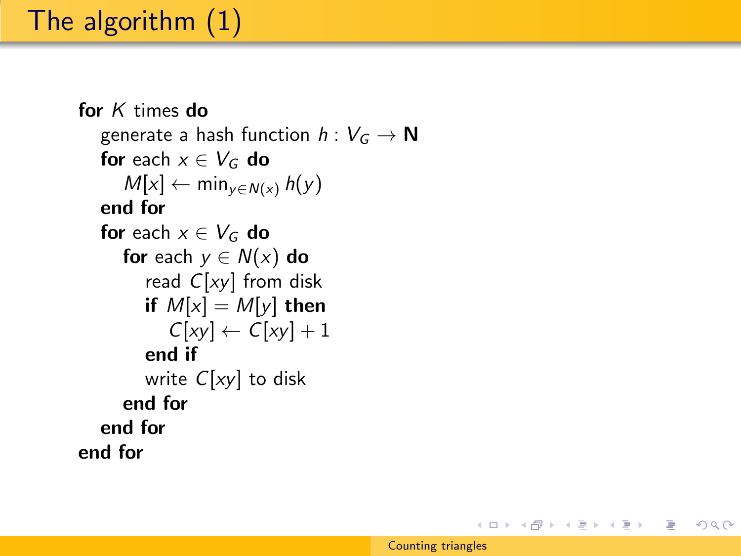```
for K times do
  generate a hash function h: V_G \to \mathbb{N}for each x \in V_G do
     M[x] \leftarrow min_{y \in N(x)} h(y)end for
  for each x \in V_G do
     for each y \in N(x) do
        read C[xy] from disk
        if M[x] = M[y] then
           C[xy] \leftarrow C[xy] + 1end if
        write C[xy] to disk
     end for
  end for
end for
```
イロメ イ母メ イヨメ イヨメート

目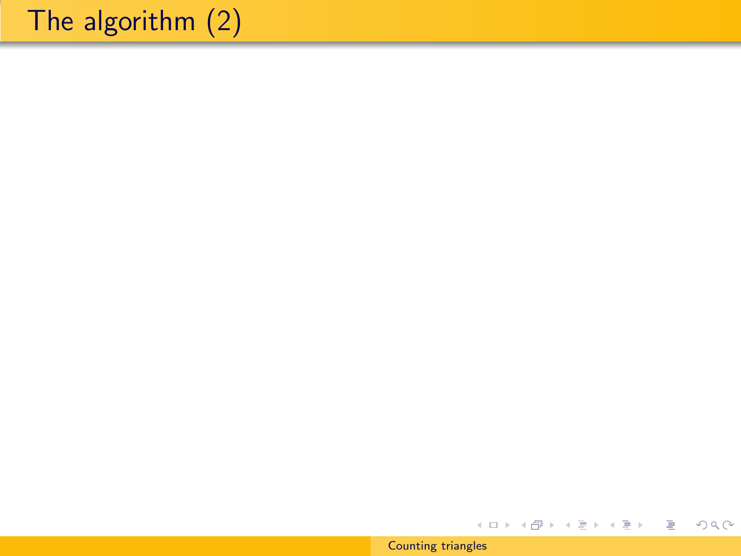[Counting triangles](#page-0-0)

メロメ メタメ メミメ メミメー

目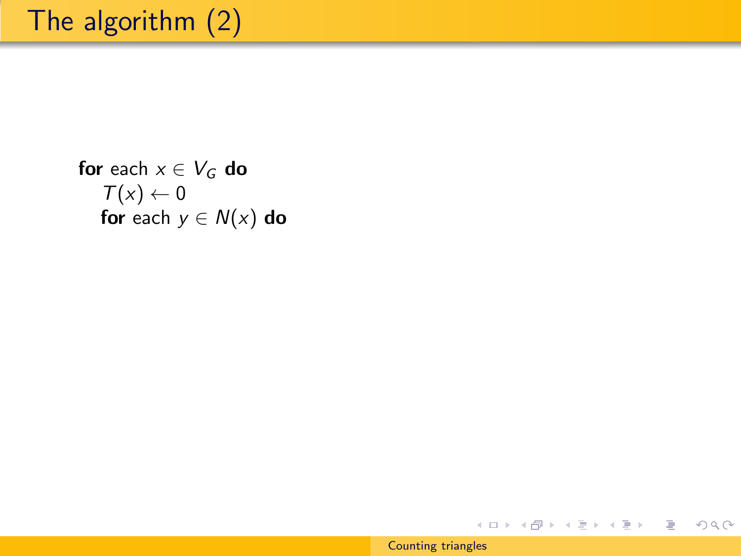for each  $x \in V_G$  do  $T(x) \leftarrow 0$ for each  $y \in N(x)$  do

イロメ イ団メ イモメ イモメー

目

 $2Q$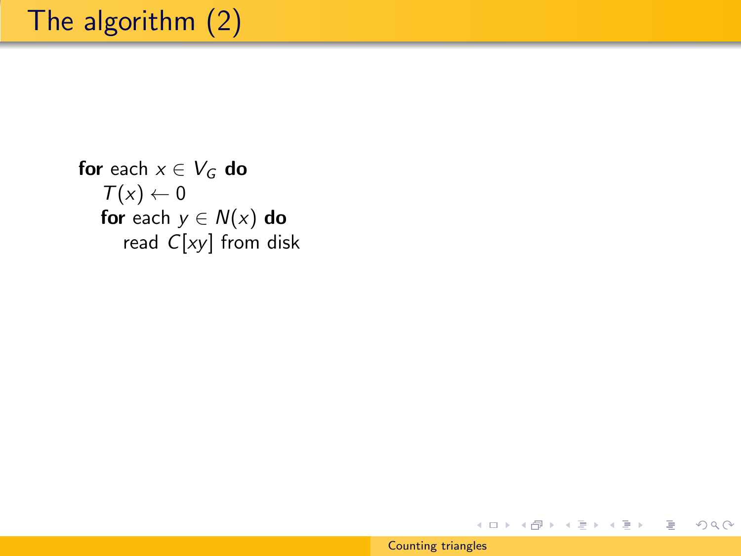for each  $x \in V_G$  do  $T(x) \leftarrow 0$ for each  $y \in N(x)$  do read  $C[xy]$  from disk

#### [Counting triangles](#page-0-0)

イロト イ部 トイ君 トイ君 トー

 $2Q$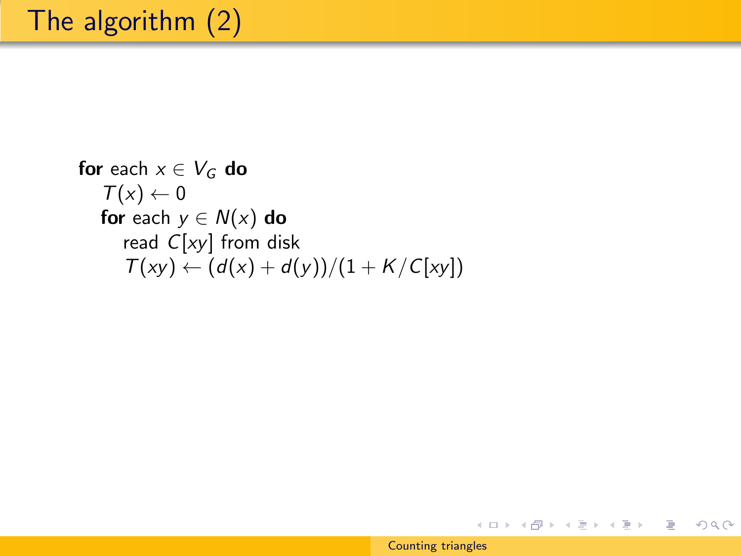**for** each 
$$
x \in V_G
$$
 **do**  
\n $T(x) \leftarrow 0$   
\n**for** each  $y \in N(x)$  **do**  
\nread C[xy] from disk  
\n $T(xy) \leftarrow (d(x) + d(y))/(1 + K/C[xy])$ 

[Counting triangles](#page-0-0)

メロメ メタメ メミメ メミメー

目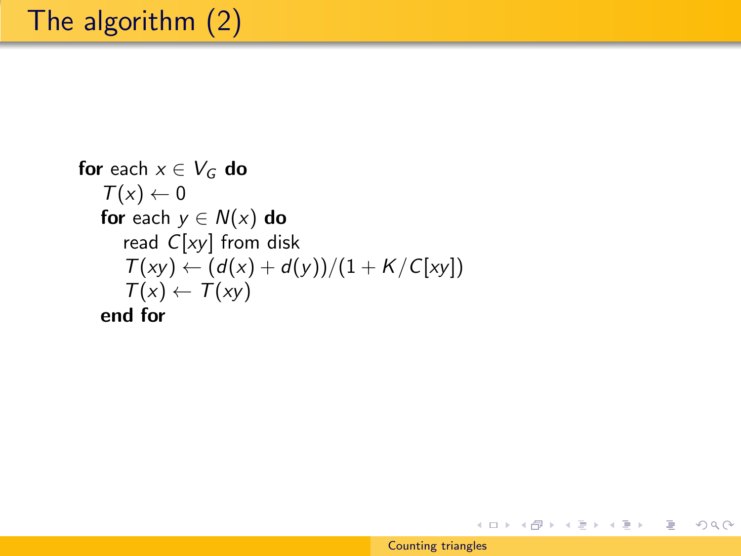\n
$$
\text{for each } x \in V_G \text{ do}
$$
\n

\n\n $T(x) \leftarrow 0$ \n

\n\n $\text{for each } y \in N(x) \text{ do}$ \n

\n\n $\text{read } C[xy] \text{ from disk}$ \n

\n\n $T(xy) \leftarrow \frac{d(x) + d(y)}{1 + K/C[xy]}$ \n

\n\n $T(x) \leftarrow T(xy)$ \n

\n\n $\text{end for}$ \n

メロメ メタメ メミメ メミメー

目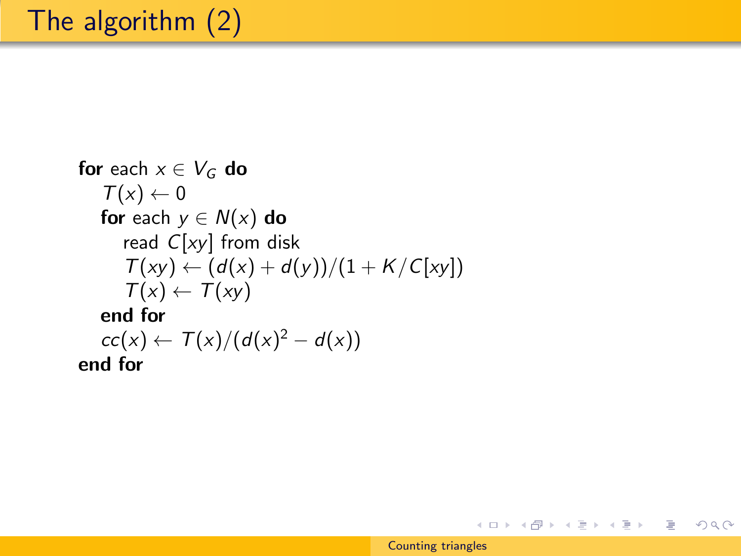\n
$$
\text{for each } x \in V_G \text{ do}
$$
\n

\n\n $T(x) \leftarrow 0$ \n

\n\n $\text{for each } y \in N(x) \text{ do}$ \n

\n\n $\text{read } C[xy] \text{ from disk}$ \n

\n\n $T(xy) \leftarrow \frac{d(x) + d(y)}{1 + K/C[xy]}$ \n

\n\n $T(x) \leftarrow T(xy)$ \n

\n\n $\text{end for}$ \n

\n\n $\text{cc}(x) \leftarrow T(x) / \left( \frac{d(x)^2 - d(x)}{x} \right)$ \n

\n\n $\text{end for}$ \n

メロメ メタメ メミメ メミメー

目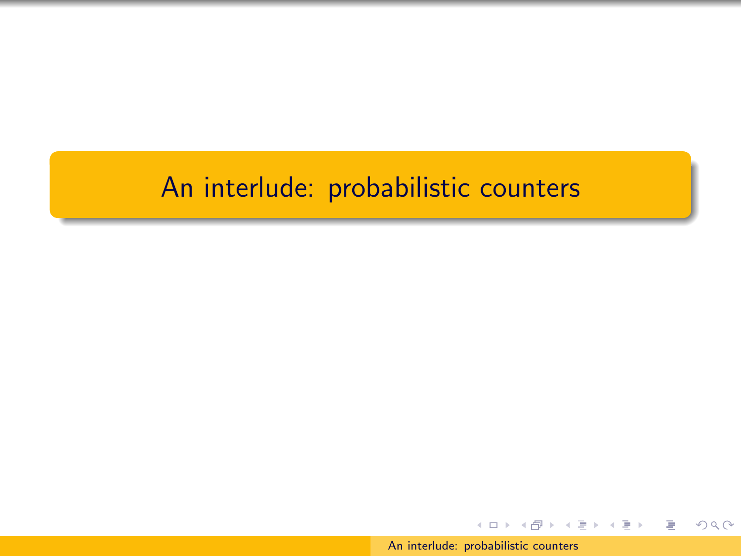#### An interlude: probabilistic counters

[An interlude: probabilistic counters](#page-0-0)

イロト イ団 トイモト イモト

 $2Q$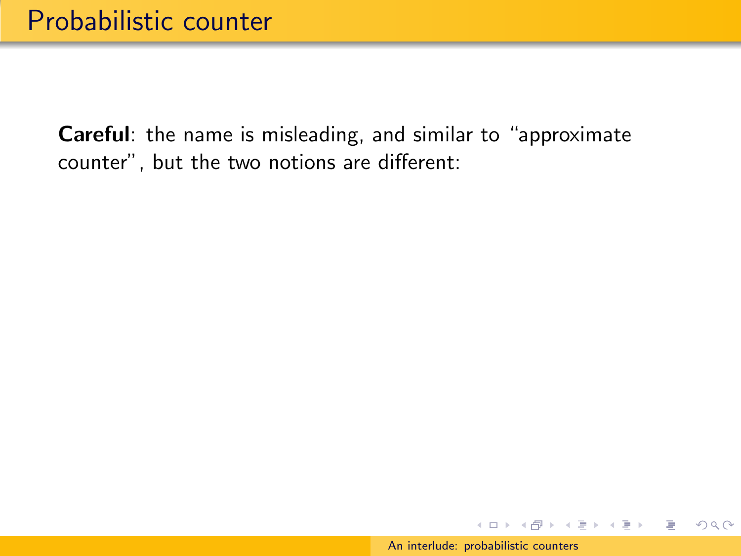イロト イ団 トイモト イモト

 $OQ$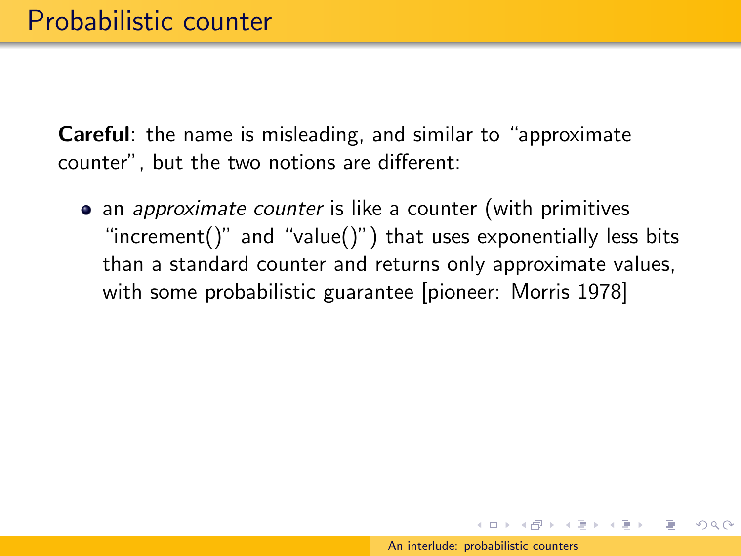• an *approximate counter* is like a counter (with primitives "increment()" and "value()") that uses exponentially less bits than a standard counter and returns only approximate values, with some probabilistic guarantee [pioneer: Morris 1978]

イロメ イ押メ イヨメ イヨメー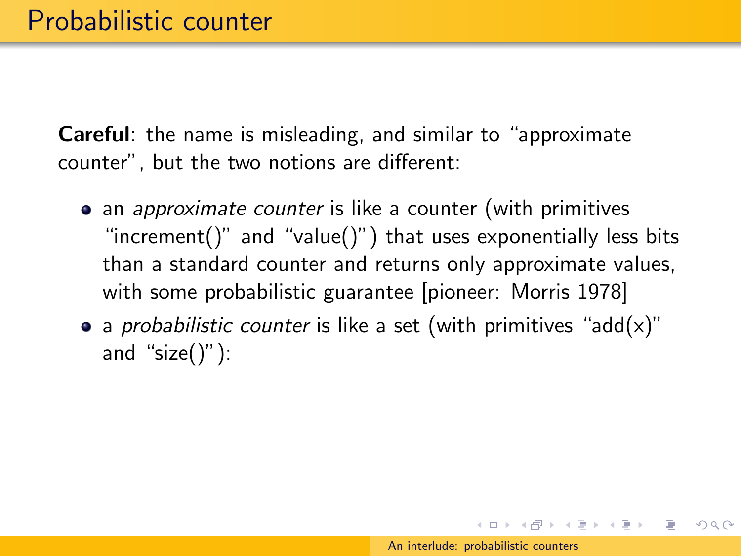- an *approximate counter* is like a counter (with primitives "increment()" and "value()") that uses exponentially less bits than a standard counter and returns only approximate values, with some probabilistic guarantee [pioneer: Morris 1978]
- a *probabilistic counter* is like a set (with primitives "add(x)" and "size $()$ "):

 $\left\{ \begin{array}{ccc} \square & \rightarrow & \left\langle \bigoplus \right\rangle & \left\langle \begin{array}{ccc} \square & \rightarrow & \left\langle \begin{array}{ccc} \square & \end{array} \right\rangle \end{array} \right. \end{array} \right.$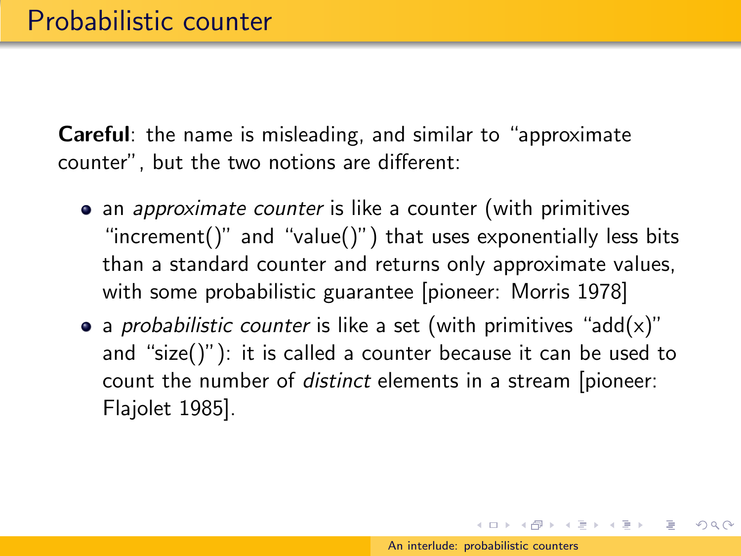- an *approximate counter* is like a counter (with primitives "increment()" and "value()") that uses exponentially less bits than a standard counter and returns only approximate values, with some probabilistic guarantee [pioneer: Morris 1978]
- a *probabilistic counter* is like a set (with primitives "add(x)" and "size()"): it is called a counter because it can be used to count the number of distinct elements in a stream [pioneer: Flajolet 1985].

 $\left\{ \begin{array}{ccc} \square & \rightarrow & \left\langle \bigoplus \right\rangle & \left\langle \begin{array}{ccc} \square & \rightarrow & \left\langle \begin{array}{ccc} \square & \end{array} \right\rangle \end{array} \right. \end{array} \right.$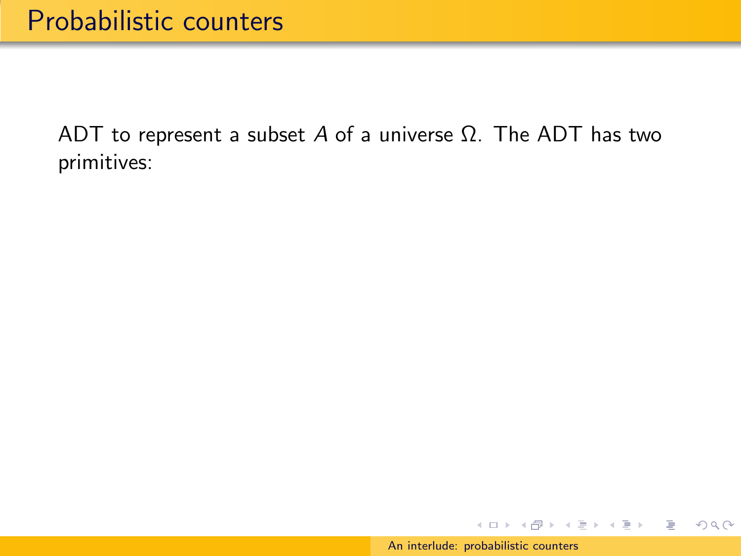イロメ イ団メ イモメ イモメー

 $OQ$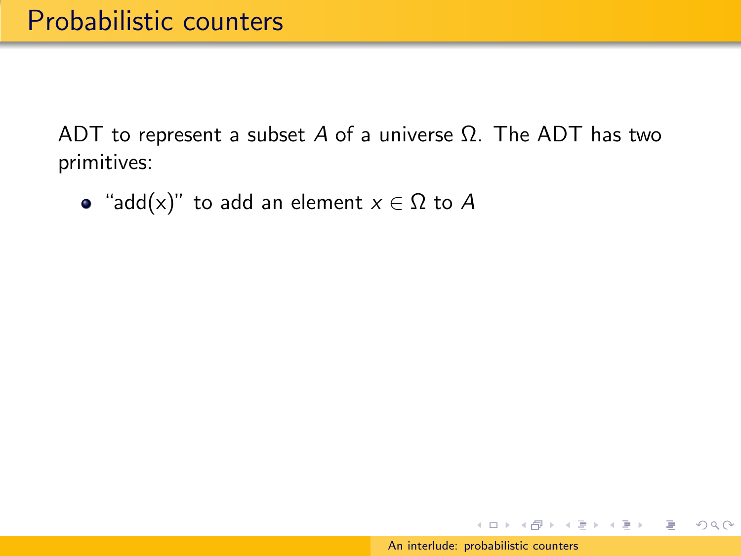• "add(x)" to add an element  $x \in \Omega$  to A

イロン イ団ン イミン イミン

 $OQ$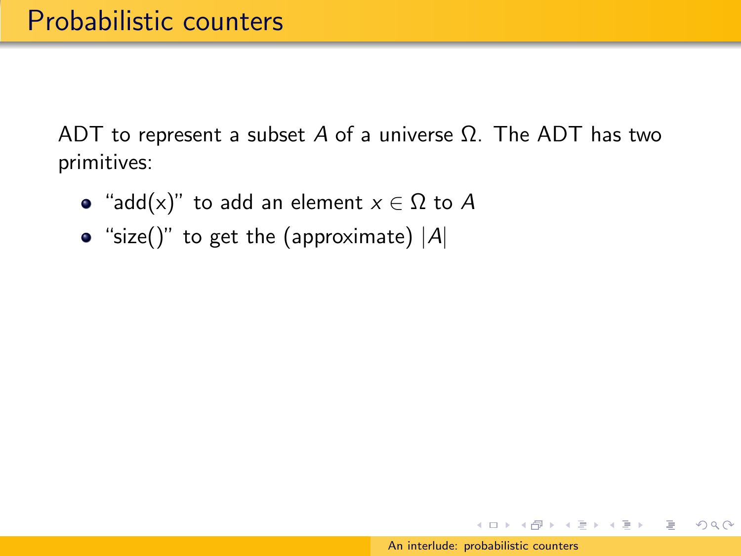- "add(x)" to add an element  $x \in \Omega$  to A
- "size()" to get the (approximate)  $|A|$

イロメ イ押メ イヨメ イヨメー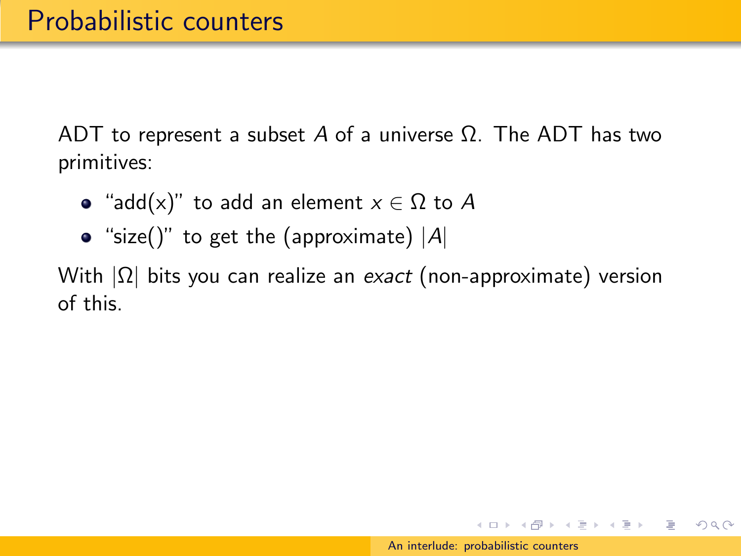- "add(x)" to add an element  $x \in \Omega$  to A
- "size()" to get the (approximate)  $|A|$

With  $|\Omega|$  bits you can realize an exact (non-approximate) version of this.

イロメ イ母メ イヨメ イヨメー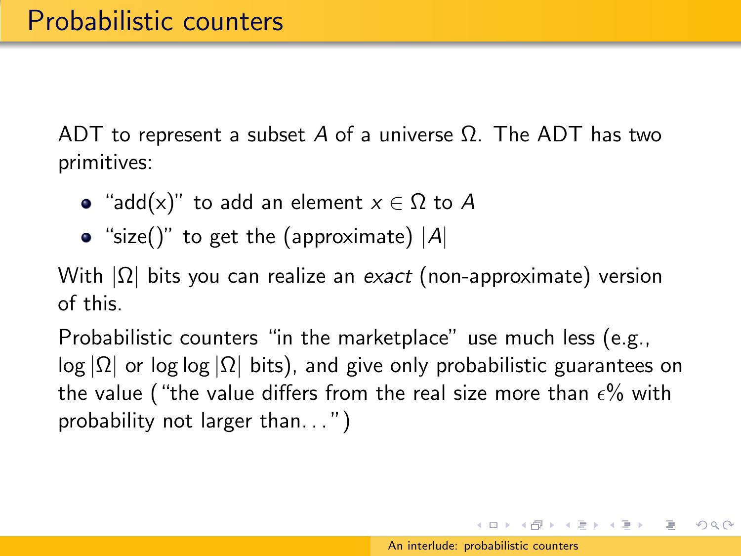- "add(x)" to add an element  $x \in \Omega$  to A
- "size()" to get the (approximate)  $|A|$

With  $|\Omega|$  bits you can realize an exact (non-approximate) version of this.

Probabilistic counters "in the marketplace" use much less (e.g.,  $log |\Omega|$  or log log  $|\Omega|$  bits), and give only probabilistic guarantees on the value ("the value differs from the real size more than  $\epsilon\%$  with probability not larger than. . . ")

 $\left\{ \begin{array}{ccc} \square & \rightarrow & \left\langle \bigoplus \right\rangle & \left\langle \begin{array}{ccc} \square & \rightarrow & \left\langle \begin{array}{ccc} \square & \end{array} \right\rangle \end{array} \right. \end{array} \right.$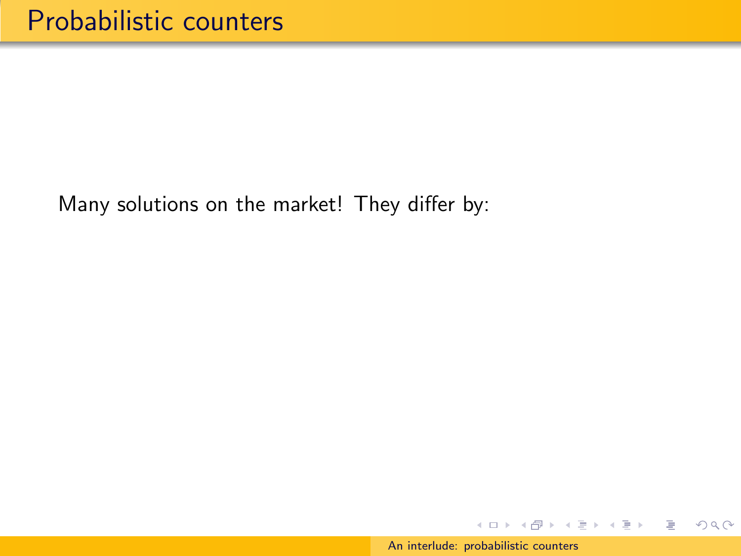イロン イ団ン イミン イミン

E.

 $2Q$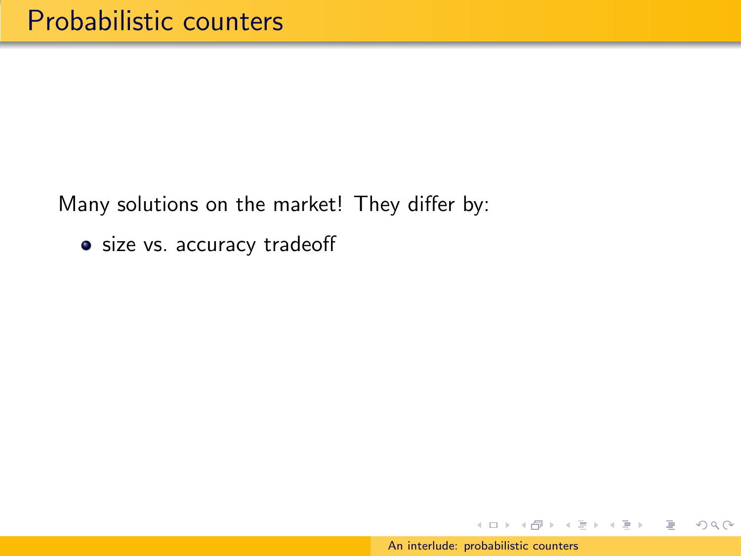• size vs. accuracy tradeoff

イロン イ団ン イミン イミン

Þ

 $OQ$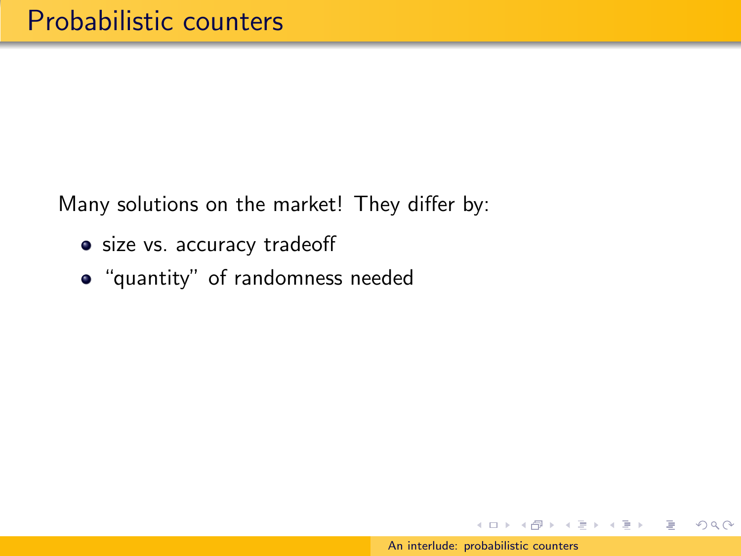- size vs. accuracy tradeoff
- "quantity" of randomness needed

イロン イ団ン イミン イミン

 $OQ$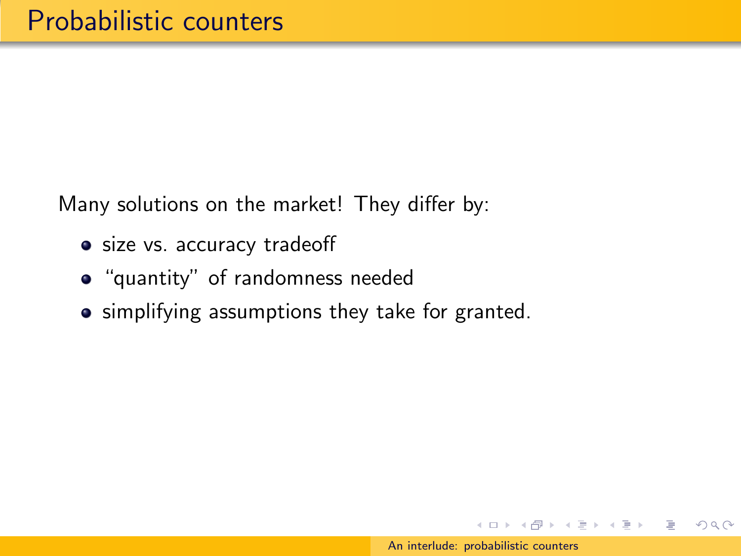- size vs. accuracy tradeoff
- "quantity" of randomness needed
- **•** simplifying assumptions they take for granted.

イロメ イ押メ イヨメ イヨメー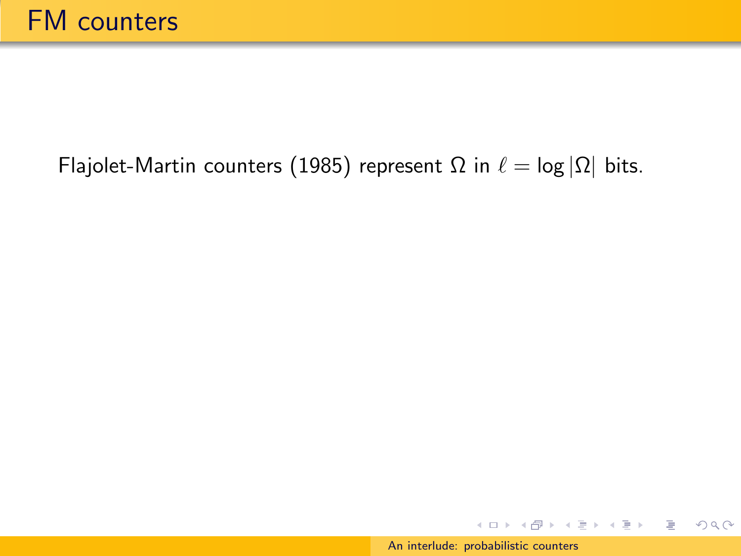[An interlude: probabilistic counters](#page-0-0)

イロメ イ団メ イモメ イモメー

Þ

 $2Q$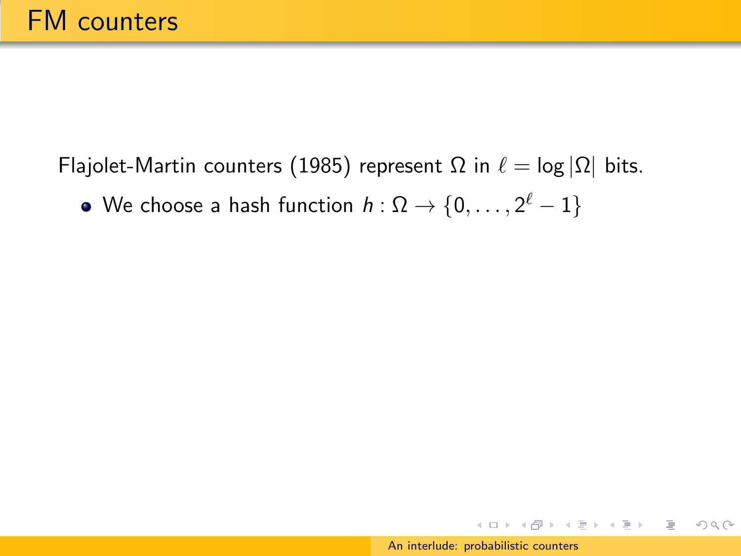We choose a hash function  $h:\Omega \rightarrow \{0,\ldots,2^\ell-1\}$ 

イロト イ団 トイモト イモト

 $OQ$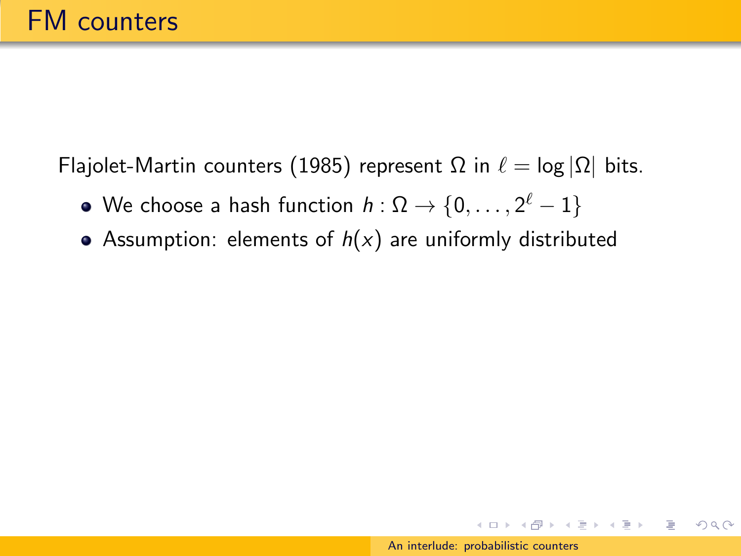- We choose a hash function  $h:\Omega \rightarrow \{0,\ldots,2^\ell-1\}$
- Assumption: elements of  $h(x)$  are uniformly distributed

 $\left\{ \begin{array}{ccc} \square & \rightarrow & \left\langle \bigoplus \right\rangle & \left\langle \begin{array}{ccc} \square & \rightarrow & \left\langle \begin{array}{ccc} \square & \end{array} \right\rangle \end{array} \right. \end{array} \right.$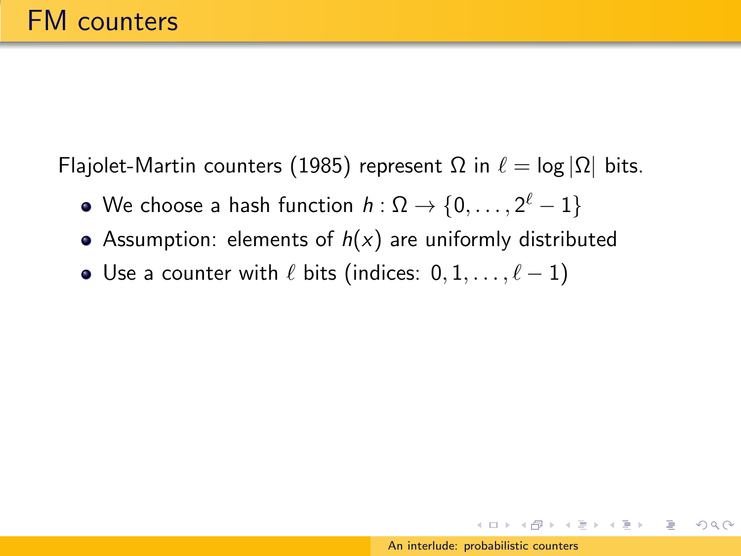- We choose a hash function  $h:\Omega \rightarrow \{0,\ldots,2^\ell-1\}$
- Assumption: elements of  $h(x)$  are uniformly distributed
- Use a counter with  $\ell$  bits (indices:  $0, 1, \ldots, \ell 1$ )

 $\left\{ \begin{array}{ccc} \square & \rightarrow & \left\langle \bigoplus \right\rangle & \left\langle \begin{array}{ccc} \square & \rightarrow & \left\langle \begin{array}{ccc} \square & \end{array} \right\rangle \end{array} \right. \end{array} \right.$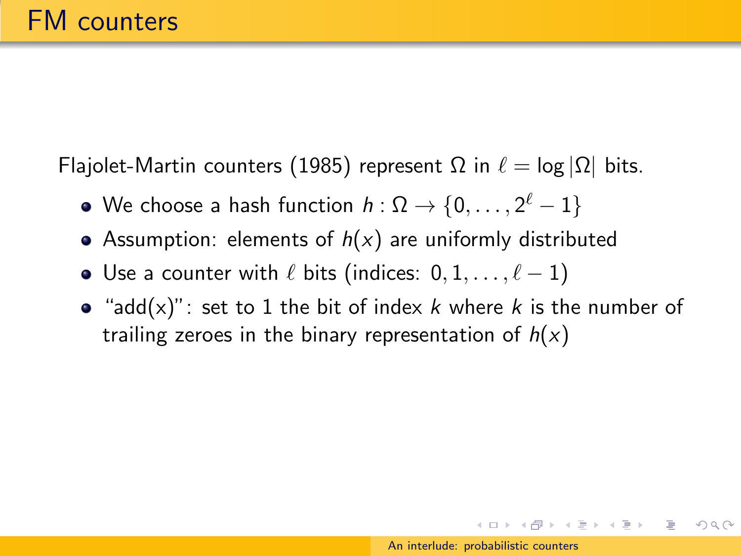- We choose a hash function  $h:\Omega \rightarrow \{0,\ldots,2^\ell-1\}$
- Assumption: elements of  $h(x)$  are uniformly distributed
- Use a counter with  $\ell$  bits (indices:  $0, 1, \ldots, \ell 1$ )
- "add(x)": set to 1 the bit of index k where k is the number of trailing zeroes in the binary representation of  $h(x)$

 $\left\{ \begin{array}{ccc} \square & \rightarrow & \left\langle \bigoplus \right\rangle & \left\langle \begin{array}{ccc} \square & \rightarrow & \left\langle \begin{array}{ccc} \square & \end{array} \right\rangle \end{array} \right. \end{array} \right.$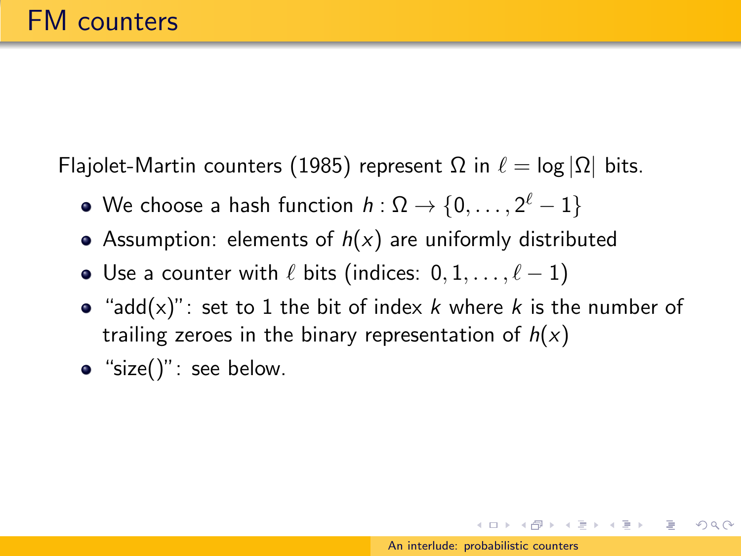- We choose a hash function  $h:\Omega \rightarrow \{0,\ldots,2^\ell-1\}$
- Assumption: elements of  $h(x)$  are uniformly distributed
- Use a counter with  $\ell$  bits (indices:  $0, 1, \ldots, \ell 1$ )
- "add(x)": set to 1 the bit of index  $k$  where  $k$  is the number of trailing zeroes in the binary representation of  $h(x)$
- $\bullet$  "size()": see below.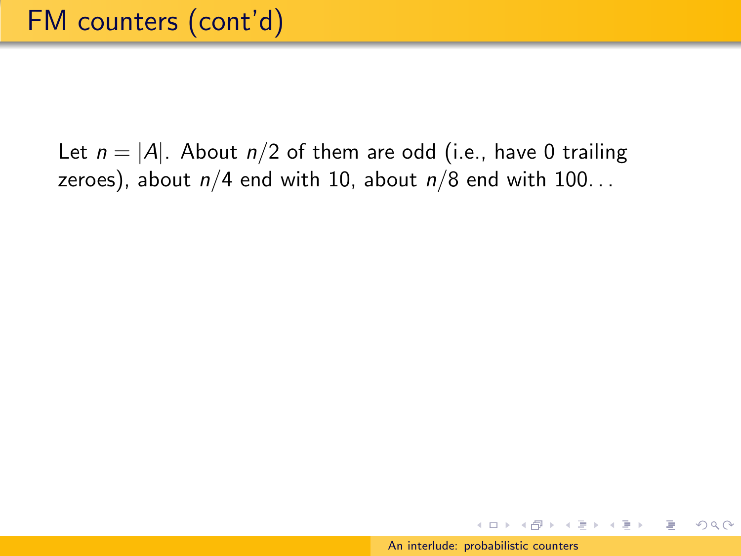イロメ イ母メ イヨメ イヨメー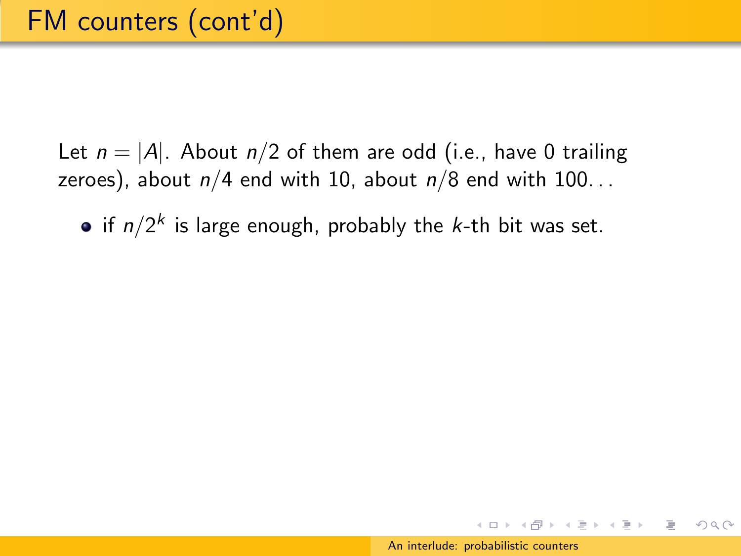if  $n/2^k$  is large enough, probably the *k*-th bit was set.

 $\mathcal{A} \oplus \mathcal{B} \rightarrow \mathcal{A} \oplus \mathcal{B} \rightarrow \mathcal{A} \oplus \mathcal{B}$ 

つくへ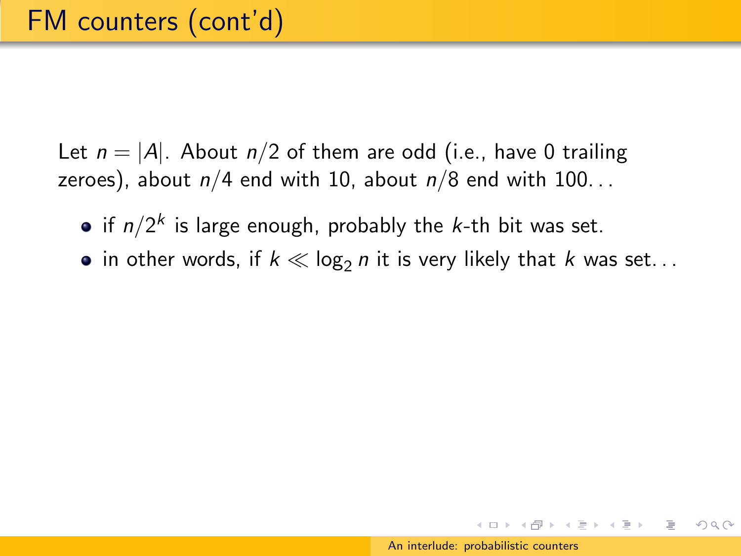- if  $n/2^k$  is large enough, probably the *k*-th bit was set.
- in other words, if  $k \ll \log_2 n$  it is very likely that k was set...

 $\mathbf{A} \equiv \mathbf{B} + \mathbf{A} \cdot \mathbf{B} + \mathbf{A} \cdot \mathbf{B} + \mathbf{A} \cdot \mathbf{B} + \mathbf{A}$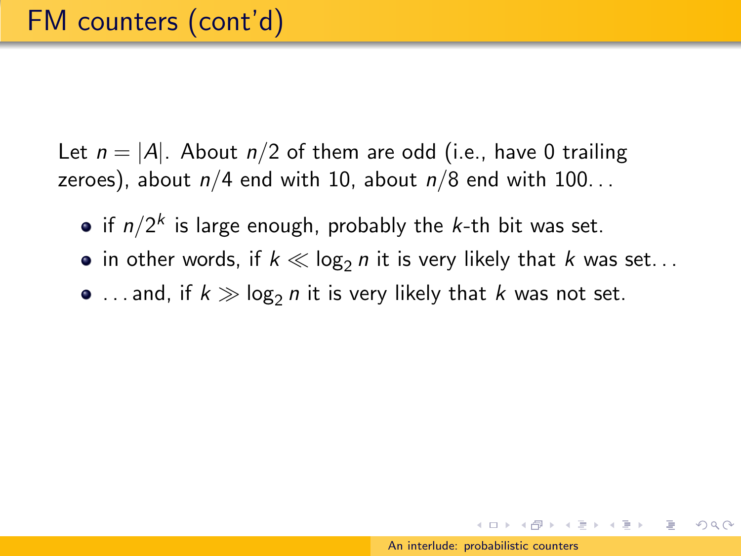- if  $n/2^k$  is large enough, probably the *k*-th bit was set.
- in other words, if  $k \ll \log_2 n$  it is very likely that k was set...
- $\bullet$  ... and, if  $k \gg \log_2 n$  it is very likely that k was not set.

 $\mathcal{A} \subseteq \mathcal{A} \text{ and } \mathcal{A} \subseteq \mathcal{A} \text{ and } \mathcal{A} \subseteq \mathcal{A} \text{ and } \mathcal{A} \subseteq \mathcal{A}$ 

つくへ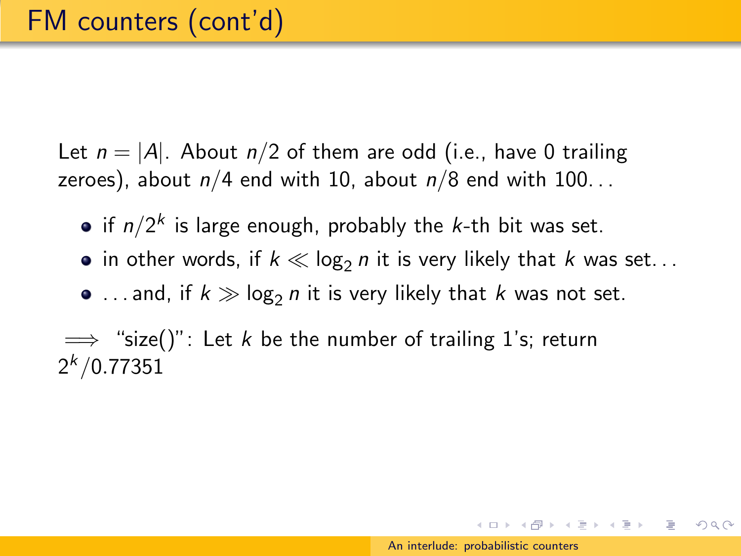Let  $n = |A|$ . About  $n/2$  of them are odd (i.e., have 0 trailing zeroes), about  $n/4$  end with 10, about  $n/8$  end with 100...

- if  $n/2^k$  is large enough, probably the *k*-th bit was set.
- in other words, if  $k \ll \log_2 n$  it is very likely that k was set...
- $\bullet$  ... and, if  $k \gg \log_2 n$  it is very likely that k was not set.

 $\implies$  "size()": Let k be the number of trailing 1's; return  $2^{k}/0.77351$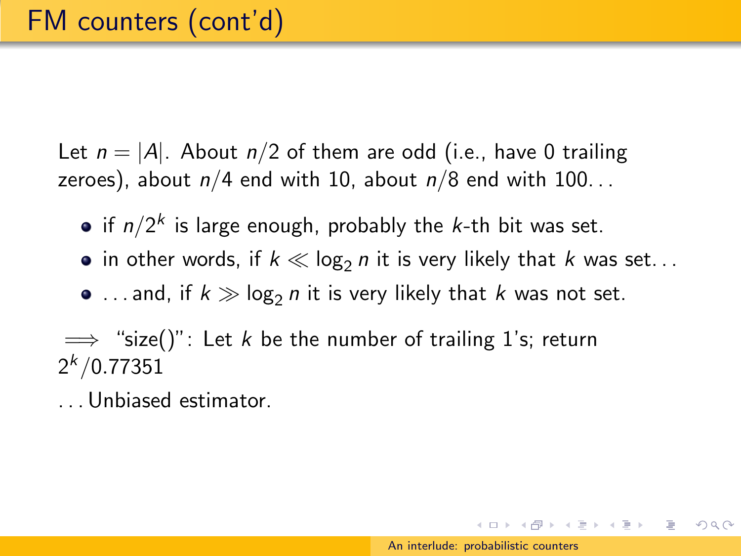Let  $n = |A|$ . About  $n/2$  of them are odd (i.e., have 0 trailing zeroes), about  $n/4$  end with 10, about  $n/8$  end with 100...

- if  $n/2^k$  is large enough, probably the *k*-th bit was set.
- in other words, if  $k \ll \log_2 n$  it is very likely that k was set...
- $\bullet$  ... and, if  $k \gg \log_2 n$  it is very likely that k was not set.

 $\implies$  "size()": Let k be the number of trailing 1's; return  $2^{k}/0.77351$ 

. . . Unbiased estimator.

イロト イ押 トイラト イラト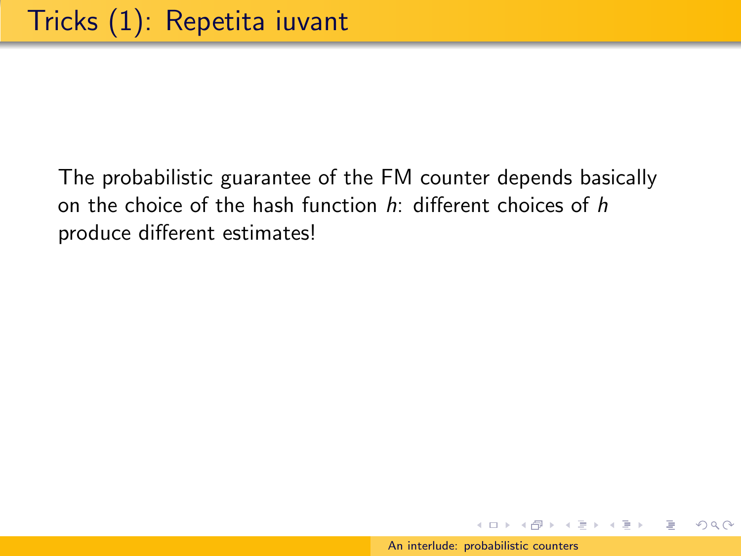イロン イ押ン イヨン イヨン

 $\equiv$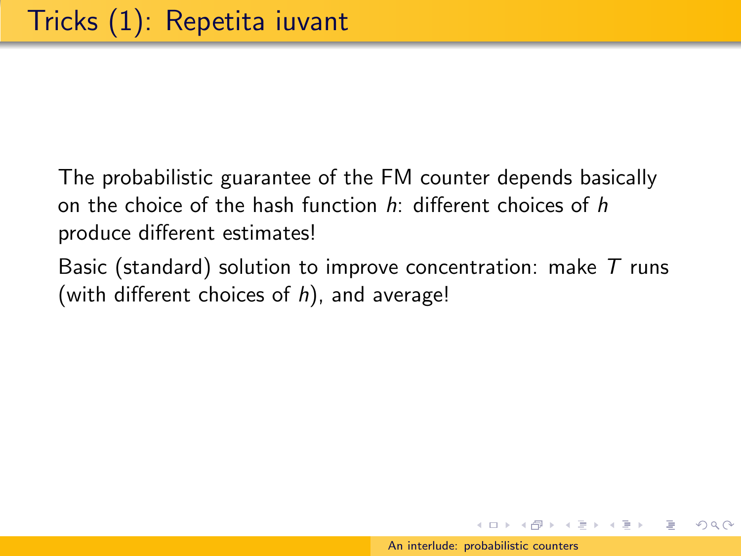Basic (standard) solution to improve concentration: make  $T$  runs (with different choices of  $h$ ), and average!

イロン イ押ン イヨン イヨン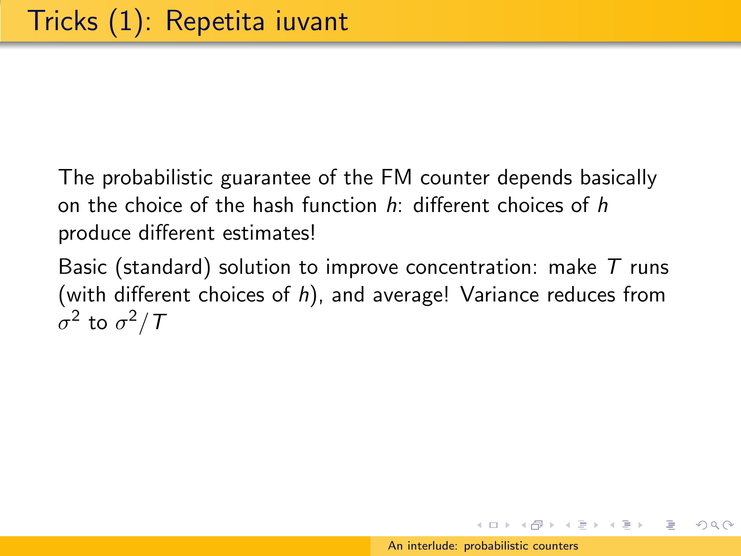Basic (standard) solution to improve concentration: make  $T$  runs (with different choices of  $h$ ), and average! Variance reduces from  $\sigma^2$  to  $\sigma^2/\mathcal{T}$ 

イロメ イ母メ イヨメ イヨメー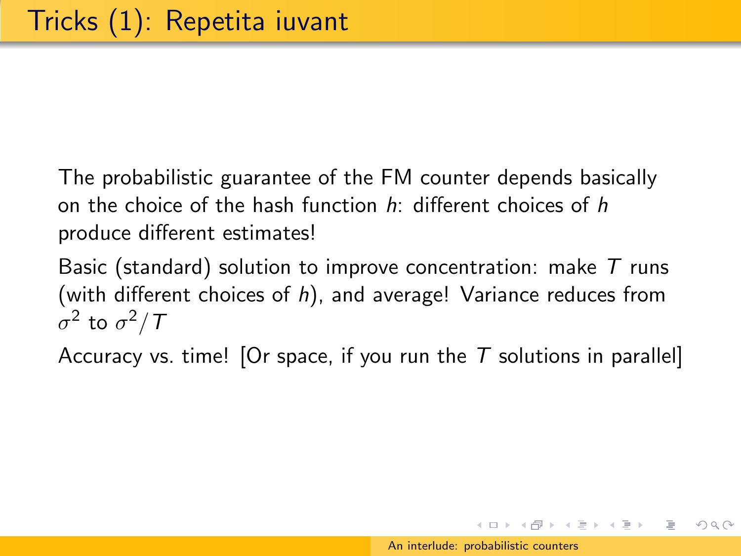Basic (standard) solution to improve concentration: make  $T$  runs (with different choices of  $h$ ), and average! Variance reduces from  $\sigma^2$  to  $\sigma^2/\mathcal{T}$ 

Accuracy vs. time! [Or space, if you run the  $T$  solutions in parallel]

イロメ イ母メ イヨメ イヨメー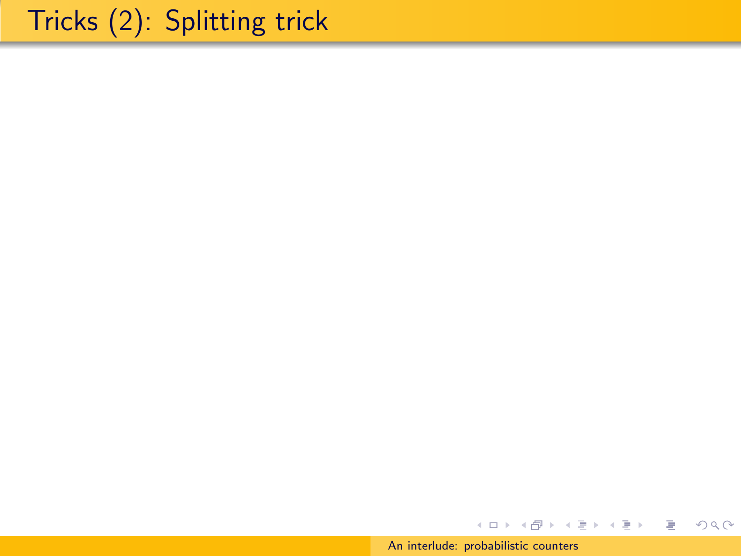## Tricks (2): Splitting trick

[An interlude: probabilistic counters](#page-0-0)

イロメ イ団メ イモメ イモメー

€.

 $2Q$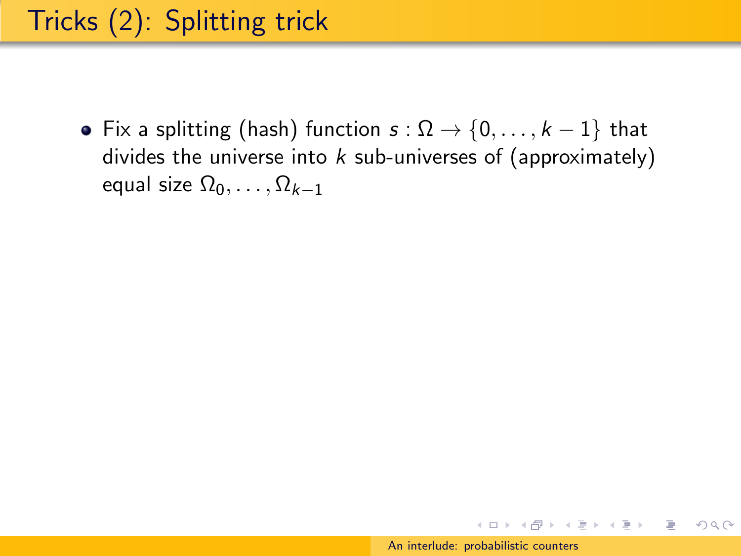• Fix a splitting (hash) function  $s : \Omega \to \{0, \ldots, k-1\}$  that divides the universe into  $k$  sub-universes of (approximately) equal size  $\Omega_0, \ldots, \Omega_{k-1}$ 

イロト イ押 トイラト イラト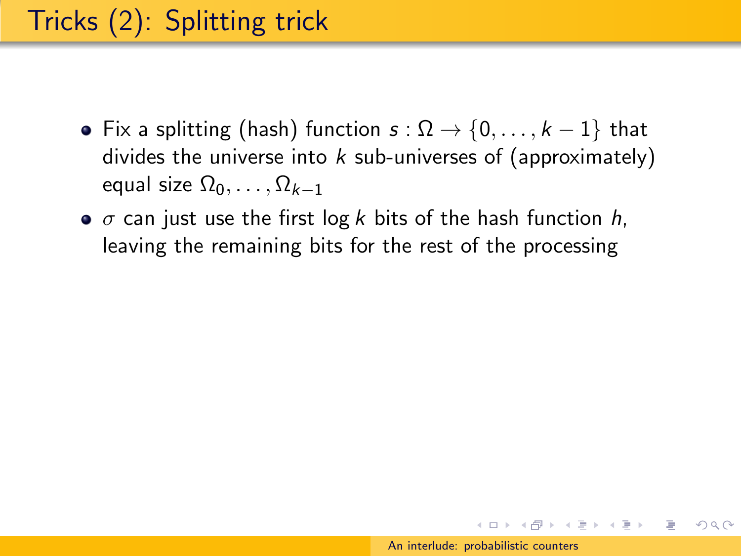- Fix a splitting (hash) function  $s : \Omega \to \{0, \ldots, k-1\}$  that divides the universe into  $k$  sub-universes of (approximately) equal size  $\Omega_0, \ldots, \Omega_{k-1}$
- $\bullet$   $\sigma$  can just use the first log k bits of the hash function h, leaving the remaining bits for the rest of the processing

イロト イ押 トイラト イラト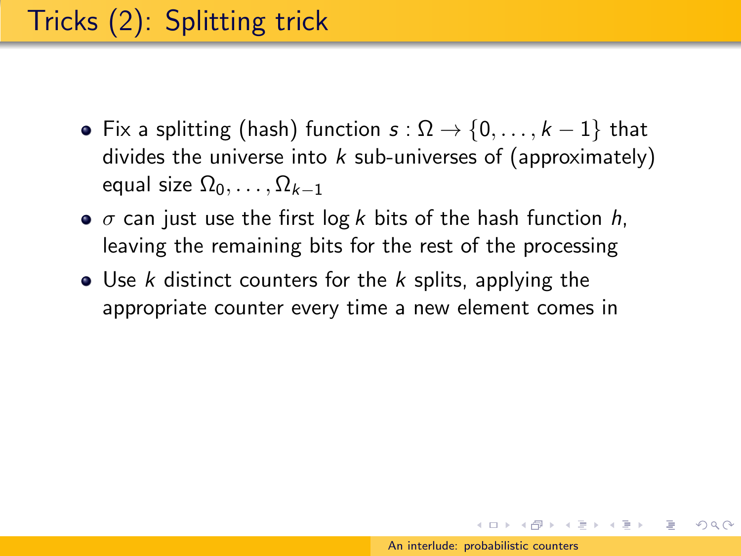- Fix a splitting (hash) function  $s : \Omega \to \{0, \ldots, k-1\}$  that divides the universe into  $k$  sub-universes of (approximately) equal size  $\Omega_0, \ldots, \Omega_{k-1}$
- $\bullet$   $\sigma$  can just use the first log k bits of the hash function h, leaving the remaining bits for the rest of the processing
- $\bullet$  Use k distinct counters for the k splits, applying the appropriate counter every time a new element comes in

 $\left\{ \begin{array}{ccc} \square & \rightarrow & \left\langle \bigoplus \right\rangle & \left\langle \begin{array}{ccc} \square & \rightarrow & \left\langle \begin{array}{ccc} \square & \end{array} \right\rangle \end{array} \right. \end{array} \right.$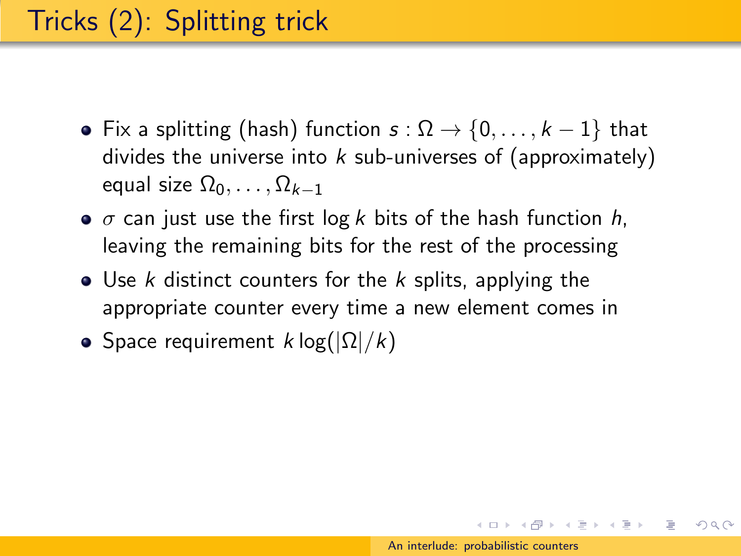- Fix a splitting (hash) function  $s : \Omega \to \{0, \ldots, k-1\}$  that divides the universe into  $k$  sub-universes of (approximately) equal size  $\Omega_0, \ldots, \Omega_{k-1}$
- $\bullet$   $\sigma$  can just use the first log k bits of the hash function h, leaving the remaining bits for the rest of the processing
- $\bullet$  Use k distinct counters for the k splits, applying the appropriate counter every time a new element comes in
- Space requirement  $k \log(|\Omega|/k)$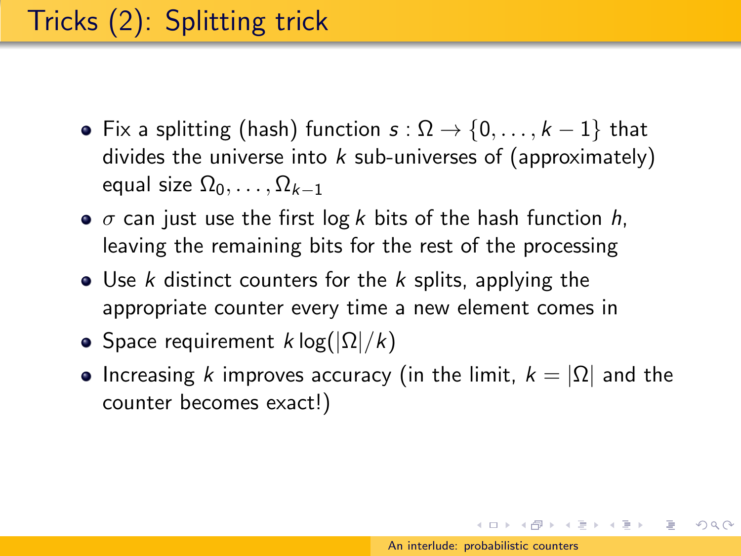- Fix a splitting (hash) function  $s : \Omega \to \{0, \ldots, k-1\}$  that divides the universe into  $k$  sub-universes of (approximately) equal size  $\Omega_0, \ldots, \Omega_{k-1}$
- $\bullet$   $\sigma$  can just use the first log k bits of the hash function h, leaving the remaining bits for the rest of the processing
- $\bullet$  Use k distinct counters for the k splits, applying the appropriate counter every time a new element comes in
- Space requirement  $k \log(|\Omega|/k)$
- Increasing k improves accuracy (in the limit,  $k = |\Omega|$  and the counter becomes exact!)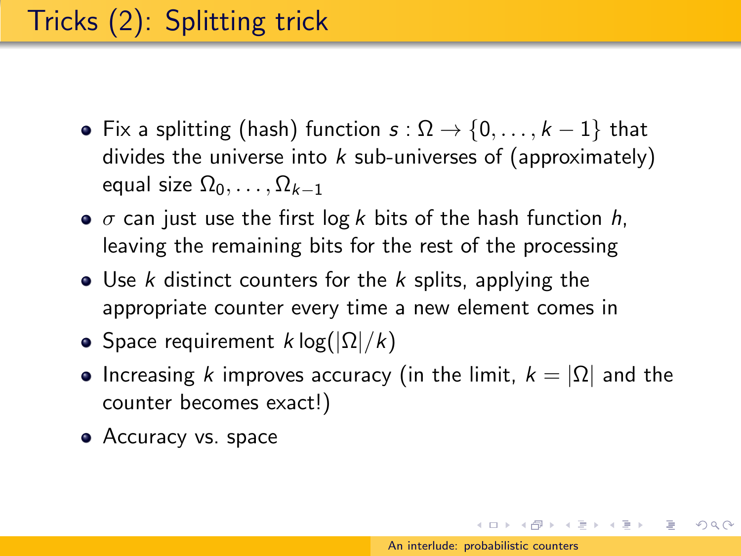- Fix a splitting (hash) function  $s : \Omega \to \{0, \ldots, k-1\}$  that divides the universe into  $k$  sub-universes of (approximately) equal size  $\Omega_0, \ldots, \Omega_{k-1}$
- $\bullet$   $\sigma$  can just use the first log k bits of the hash function h, leaving the remaining bits for the rest of the processing
- $\bullet$  Use k distinct counters for the k splits, applying the appropriate counter every time a new element comes in
- Space requirement  $k \log(|\Omega|/k)$
- Increasing k improves accuracy (in the limit,  $k = |\Omega|$  and the counter becomes exact!)
- Accuracy vs. space

 $(0 \times 0) \times 0$  ,  $(1 \times 0) \times 0$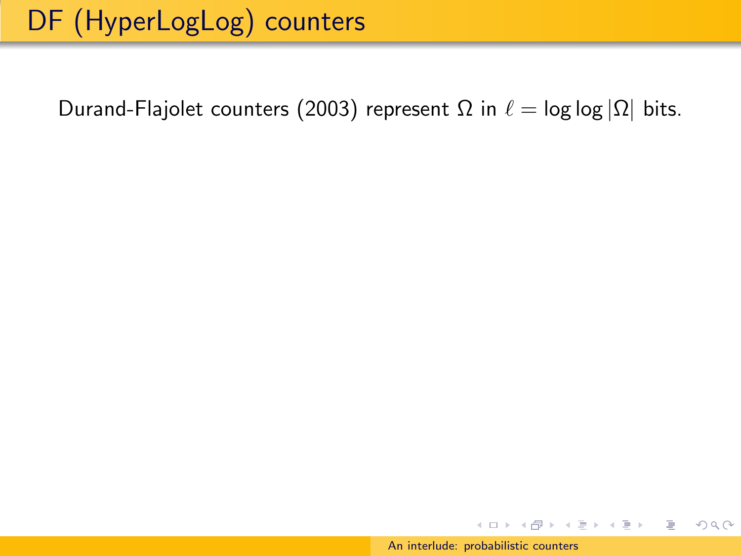$\left\{ \begin{array}{ccc} \square & \rightarrow & \left\langle \bigoplus \right\rangle & \left\langle \begin{array}{ccc} \square & \rightarrow & \left\langle \begin{array}{ccc} \square & \end{array} \right\rangle \end{array} \right. \end{array} \right.$ 

 $OQ$ 

∍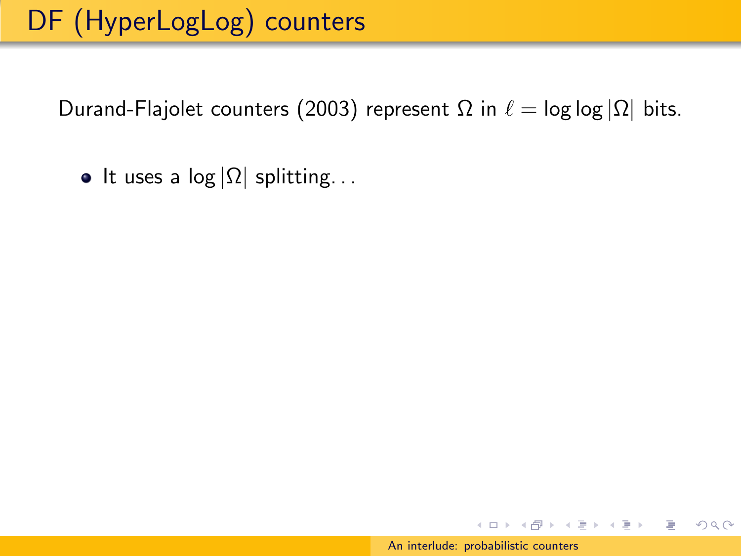## DF (HyperLogLog) counters

Durand-Flajolet counters (2003) represent  $\Omega$  in  $\ell = \log \log |\Omega|$  bits.

• It uses a  $log |\Omega|$  splitting...

 $OQ$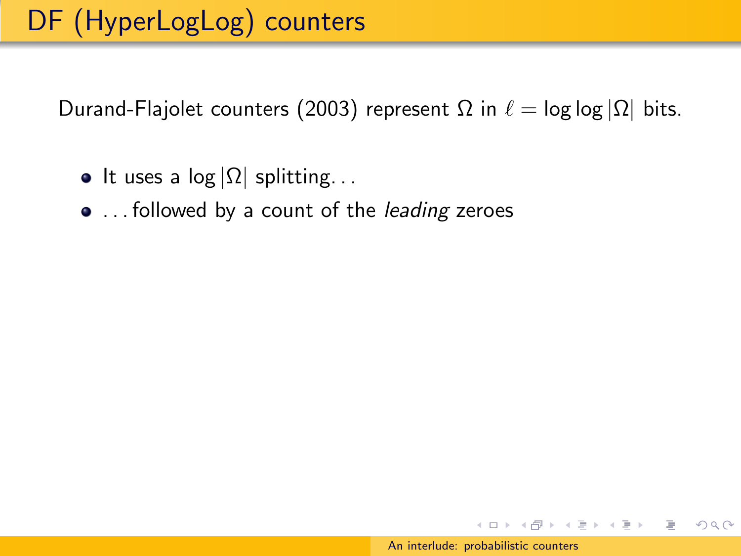- It uses a  $log |\Omega|$  splitting...
- ... followed by a count of the leading zeroes

イロメ イ母メ イヨメ イヨメー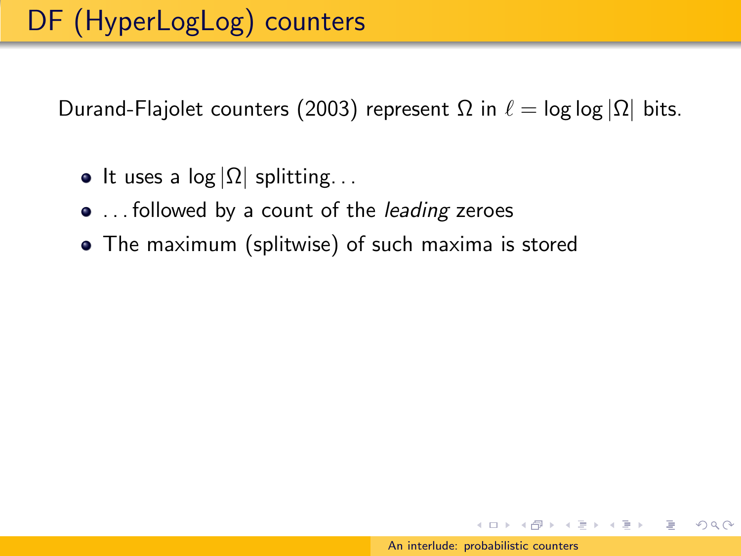- It uses a log  $|\Omega|$  splitting...
- ... followed by a count of the *leading* zeroes
- The maximum (splitwise) of such maxima is stored

イロメ イ母メ イヨメ イヨメー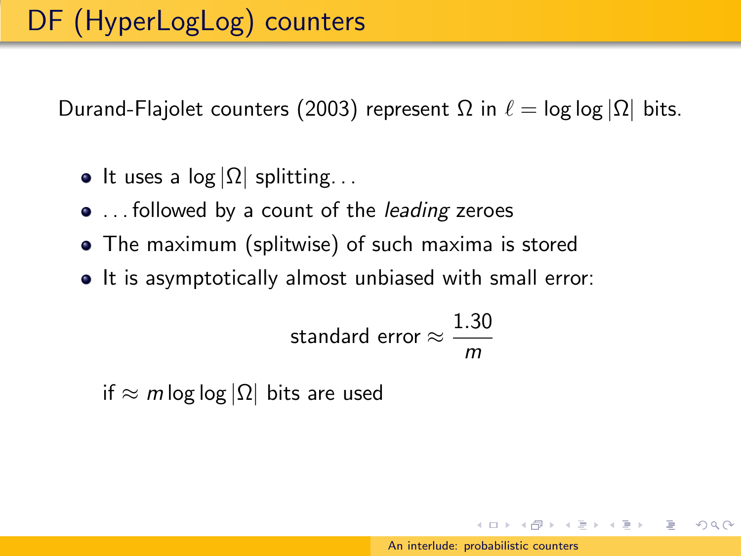- It uses a log  $|\Omega|$  splitting...
- ... followed by a count of the *leading* zeroes
- The maximum (splitwise) of such maxima is stored
- It is asymptotically almost unbiased with small error:

standard error 
$$
\approx \frac{1.30}{m}
$$

if  $\approx$  m log log  $|\Omega|$  bits are used

イロト イ押 トイヨ トイヨ トー